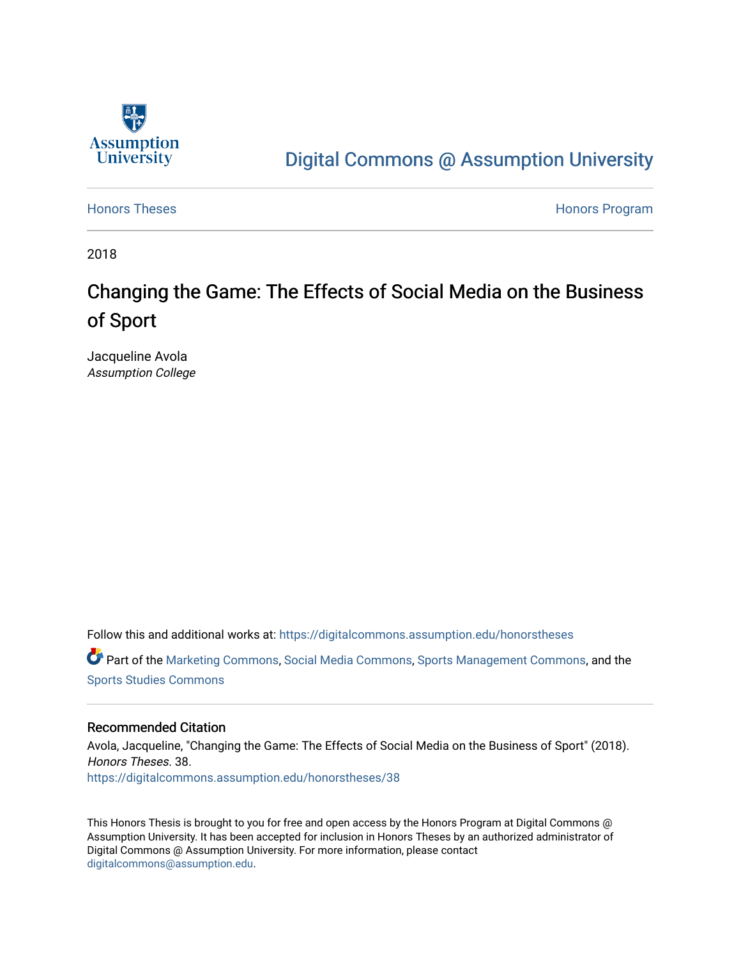

# [Digital Commons @ Assumption University](https://digitalcommons.assumption.edu/)

[Honors Theses](https://digitalcommons.assumption.edu/honorstheses) **Honors** Program

2018

# Changing the Game: The Effects of Social Media on the Business of Sport

Jacqueline Avola Assumption College

Follow this and additional works at: [https://digitalcommons.assumption.edu/honorstheses](https://digitalcommons.assumption.edu/honorstheses?utm_source=digitalcommons.assumption.edu%2Fhonorstheses%2F38&utm_medium=PDF&utm_campaign=PDFCoverPages)

Part of the [Marketing Commons](http://network.bepress.com/hgg/discipline/638?utm_source=digitalcommons.assumption.edu%2Fhonorstheses%2F38&utm_medium=PDF&utm_campaign=PDFCoverPages), [Social Media Commons,](http://network.bepress.com/hgg/discipline/1249?utm_source=digitalcommons.assumption.edu%2Fhonorstheses%2F38&utm_medium=PDF&utm_campaign=PDFCoverPages) [Sports Management Commons](http://network.bepress.com/hgg/discipline/1193?utm_source=digitalcommons.assumption.edu%2Fhonorstheses%2F38&utm_medium=PDF&utm_campaign=PDFCoverPages), and the [Sports Studies Commons](http://network.bepress.com/hgg/discipline/1198?utm_source=digitalcommons.assumption.edu%2Fhonorstheses%2F38&utm_medium=PDF&utm_campaign=PDFCoverPages) 

#### Recommended Citation

Avola, Jacqueline, "Changing the Game: The Effects of Social Media on the Business of Sport" (2018). Honors Theses. 38. [https://digitalcommons.assumption.edu/honorstheses/38](https://digitalcommons.assumption.edu/honorstheses/38?utm_source=digitalcommons.assumption.edu%2Fhonorstheses%2F38&utm_medium=PDF&utm_campaign=PDFCoverPages) 

This Honors Thesis is brought to you for free and open access by the Honors Program at Digital Commons @ Assumption University. It has been accepted for inclusion in Honors Theses by an authorized administrator of Digital Commons @ Assumption University. For more information, please contact [digitalcommons@assumption.edu](mailto:digitalcommons@assumption.edu).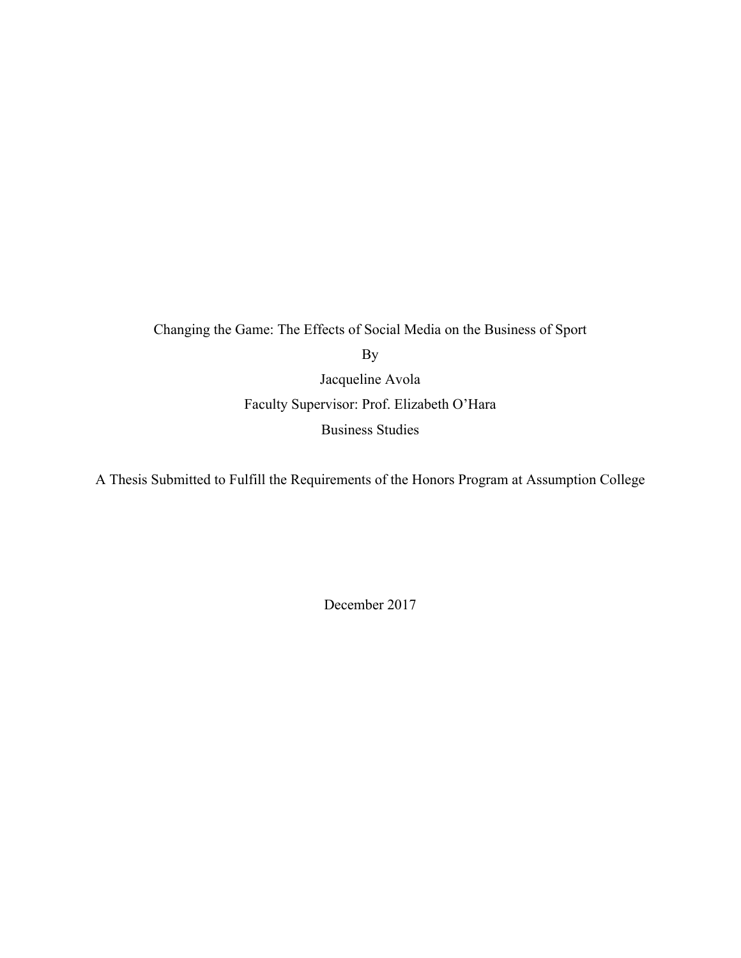Changing the Game: The Effects of Social Media on the Business of Sport By Jacqueline Avola Faculty Supervisor: Prof. Elizabeth O'Hara Business Studies

A Thesis Submitted to Fulfill the Requirements of the Honors Program at Assumption College

December 2017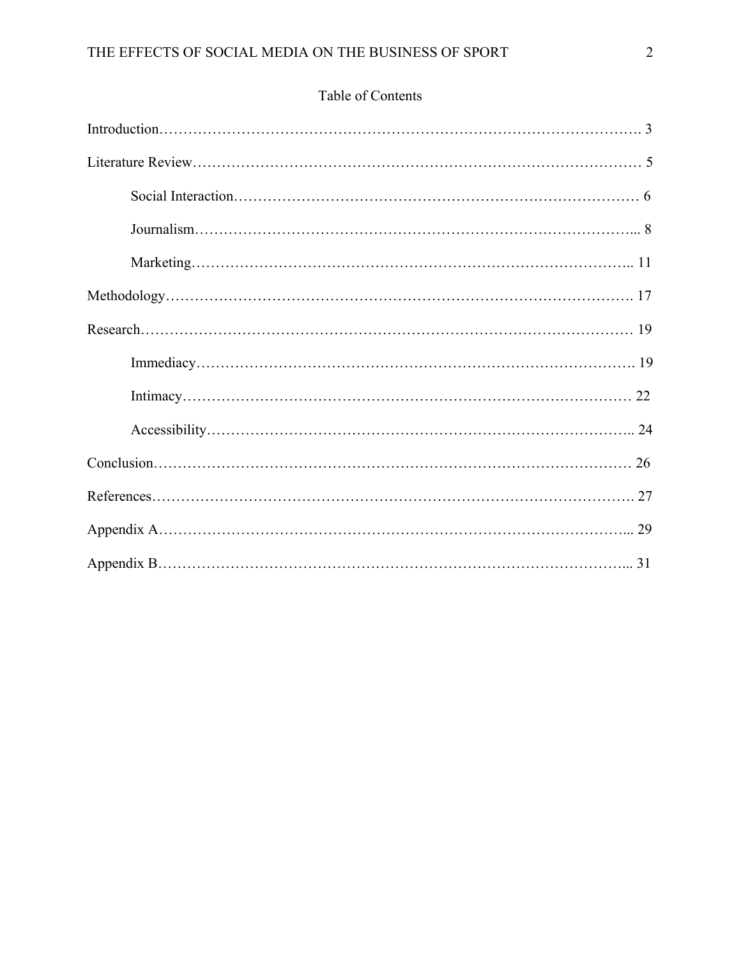# Table of Contents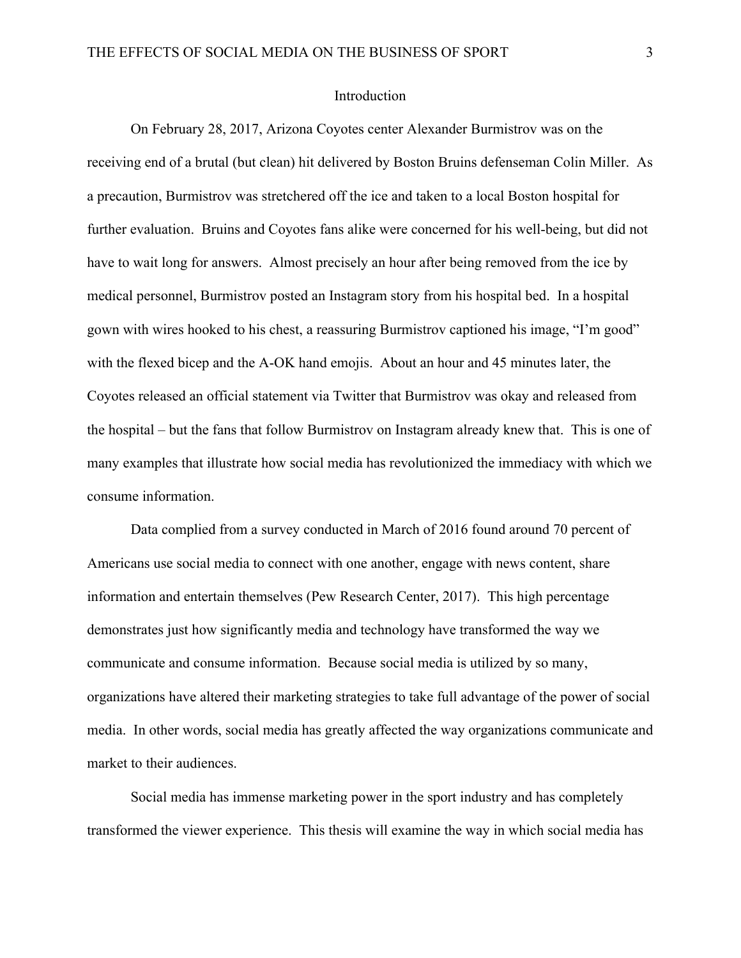#### Introduction

On February 28, 2017, Arizona Coyotes center Alexander Burmistrov was on the receiving end of a brutal (but clean) hit delivered by Boston Bruins defenseman Colin Miller. As a precaution, Burmistrov was stretchered off the ice and taken to a local Boston hospital for further evaluation. Bruins and Coyotes fans alike were concerned for his well-being, but did not have to wait long for answers. Almost precisely an hour after being removed from the ice by medical personnel, Burmistrov posted an Instagram story from his hospital bed. In a hospital gown with wires hooked to his chest, a reassuring Burmistrov captioned his image, "I'm good" with the flexed bicep and the A-OK hand emojis. About an hour and 45 minutes later, the Coyotes released an official statement via Twitter that Burmistrov was okay and released from the hospital – but the fans that follow Burmistrov on Instagram already knew that. This is one of many examples that illustrate how social media has revolutionized the immediacy with which we consume information.

Data complied from a survey conducted in March of 2016 found around 70 percent of Americans use social media to connect with one another, engage with news content, share information and entertain themselves (Pew Research Center, 2017). This high percentage demonstrates just how significantly media and technology have transformed the way we communicate and consume information. Because social media is utilized by so many, organizations have altered their marketing strategies to take full advantage of the power of social media. In other words, social media has greatly affected the way organizations communicate and market to their audiences.

Social media has immense marketing power in the sport industry and has completely transformed the viewer experience. This thesis will examine the way in which social media has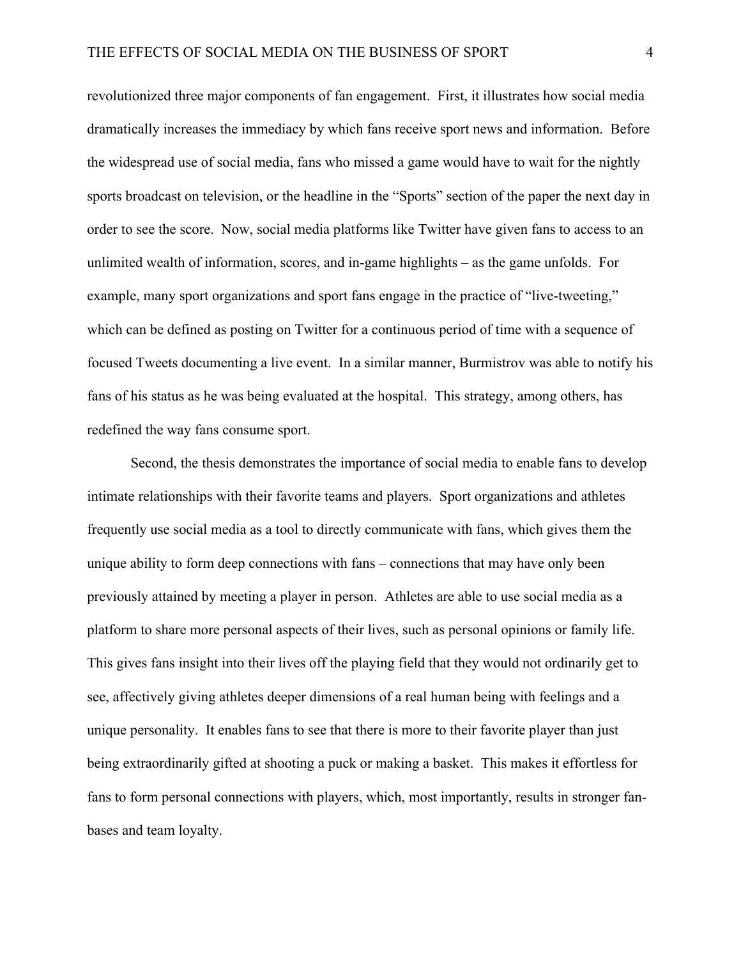revolutionized three major components of fan engagement. First, it illustrates how social media dramatically increases the immediacy by which fans receive sport news and information. Before the widespread use of social media, fans who missed a game would have to wait for the nightly sports broadcast on television, or the headline in the "Sports" section of the paper the next day in order to see the score. Now, social media platforms like Twitter have given fans to access to an unlimited wealth of information, scores, and in-game highlights – as the game unfolds. For example, many sport organizations and sport fans engage in the practice of "live-tweeting," which can be defined as posting on Twitter for a continuous period of time with a sequence of focused Tweets documenting a live event. In a similar manner, Burmistrov was able to notify his fans of his status as he was being evaluated at the hospital. This strategy, among others, has redefined the way fans consume sport.

Second, the thesis demonstrates the importance of social media to enable fans to develop intimate relationships with their favorite teams and players. Sport organizations and athletes frequently use social media as a tool to directly communicate with fans, which gives them the unique ability to form deep connections with fans – connections that may have only been previously attained by meeting a player in person. Athletes are able to use social media as a platform to share more personal aspects of their lives, such as personal opinions or family life. This gives fans insight into their lives off the playing field that they would not ordinarily get to see, affectively giving athletes deeper dimensions of a real human being with feelings and a unique personality. It enables fans to see that there is more to their favorite player than just being extraordinarily gifted at shooting a puck or making a basket. This makes it effortless for fans to form personal connections with players, which, most importantly, results in stronger fanbases and team loyalty.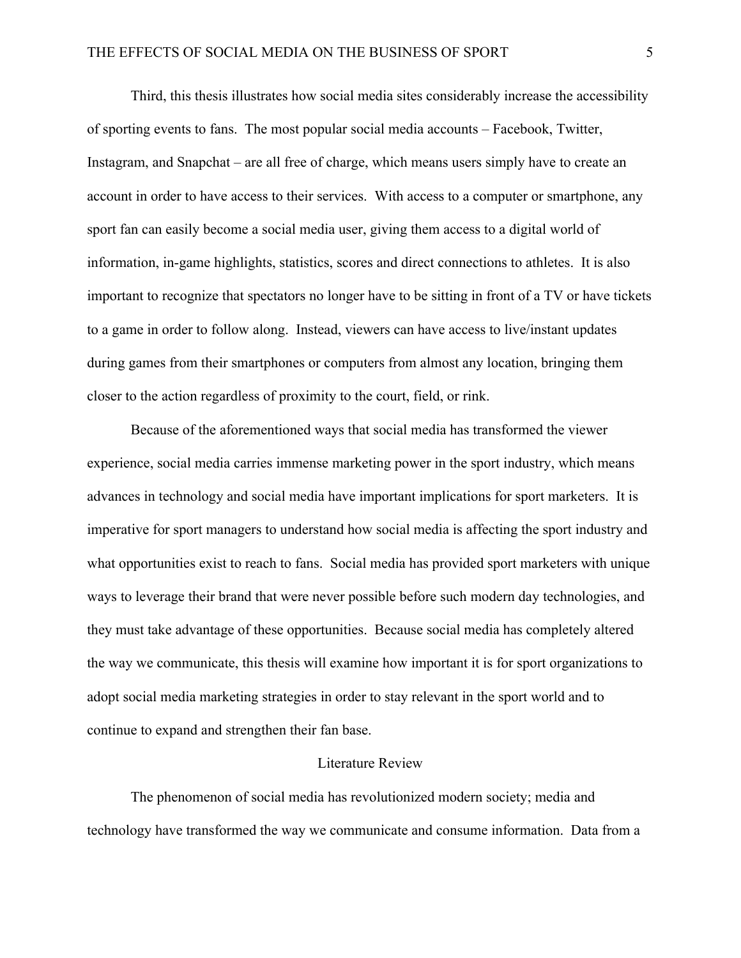Third, this thesis illustrates how social media sites considerably increase the accessibility of sporting events to fans. The most popular social media accounts – Facebook, Twitter, Instagram, and Snapchat – are all free of charge, which means users simply have to create an account in order to have access to their services. With access to a computer or smartphone, any sport fan can easily become a social media user, giving them access to a digital world of information, in-game highlights, statistics, scores and direct connections to athletes. It is also important to recognize that spectators no longer have to be sitting in front of a TV or have tickets to a game in order to follow along. Instead, viewers can have access to live/instant updates during games from their smartphones or computers from almost any location, bringing them closer to the action regardless of proximity to the court, field, or rink.

Because of the aforementioned ways that social media has transformed the viewer experience, social media carries immense marketing power in the sport industry, which means advances in technology and social media have important implications for sport marketers. It is imperative for sport managers to understand how social media is affecting the sport industry and what opportunities exist to reach to fans. Social media has provided sport marketers with unique ways to leverage their brand that were never possible before such modern day technologies, and they must take advantage of these opportunities. Because social media has completely altered the way we communicate, this thesis will examine how important it is for sport organizations to adopt social media marketing strategies in order to stay relevant in the sport world and to continue to expand and strengthen their fan base.

#### Literature Review

The phenomenon of social media has revolutionized modern society; media and technology have transformed the way we communicate and consume information. Data from a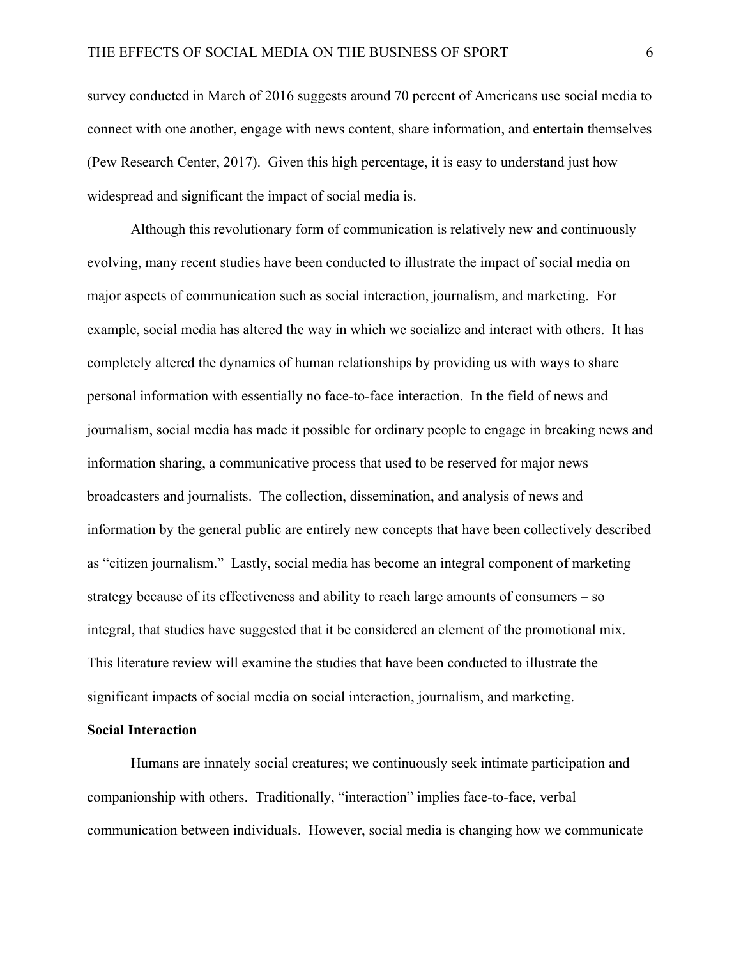survey conducted in March of 2016 suggests around 70 percent of Americans use social media to connect with one another, engage with news content, share information, and entertain themselves (Pew Research Center, 2017). Given this high percentage, it is easy to understand just how widespread and significant the impact of social media is.

Although this revolutionary form of communication is relatively new and continuously evolving, many recent studies have been conducted to illustrate the impact of social media on major aspects of communication such as social interaction, journalism, and marketing. For example, social media has altered the way in which we socialize and interact with others. It has completely altered the dynamics of human relationships by providing us with ways to share personal information with essentially no face-to-face interaction. In the field of news and journalism, social media has made it possible for ordinary people to engage in breaking news and information sharing, a communicative process that used to be reserved for major news broadcasters and journalists. The collection, dissemination, and analysis of news and information by the general public are entirely new concepts that have been collectively described as "citizen journalism." Lastly, social media has become an integral component of marketing strategy because of its effectiveness and ability to reach large amounts of consumers – so integral, that studies have suggested that it be considered an element of the promotional mix. This literature review will examine the studies that have been conducted to illustrate the significant impacts of social media on social interaction, journalism, and marketing.

#### **Social Interaction**

Humans are innately social creatures; we continuously seek intimate participation and companionship with others. Traditionally, "interaction" implies face-to-face, verbal communication between individuals. However, social media is changing how we communicate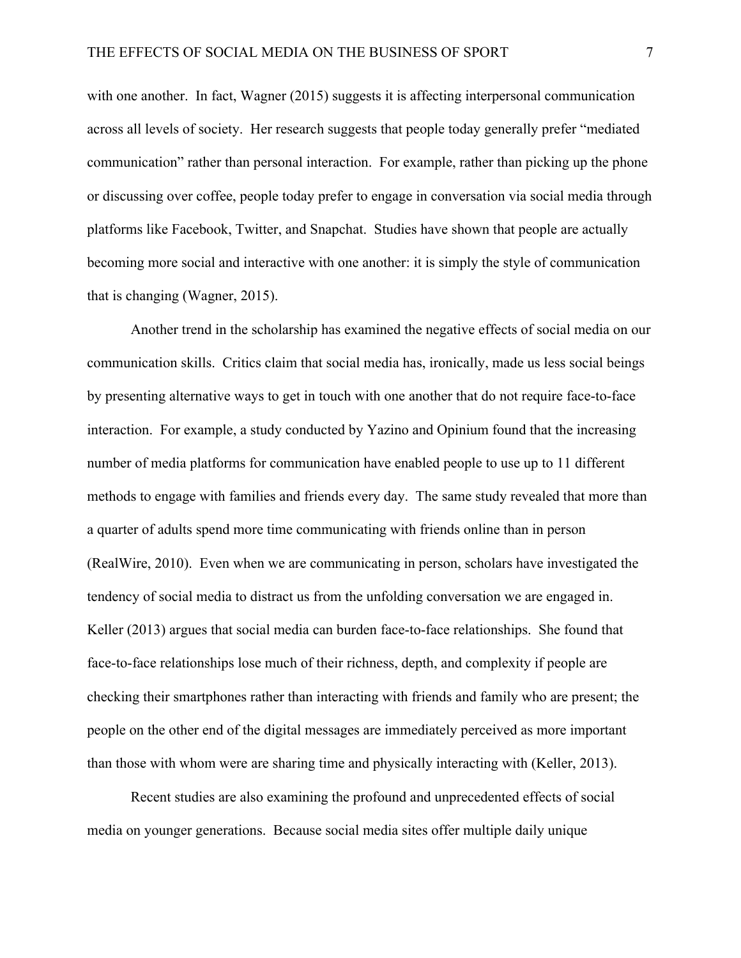with one another. In fact, Wagner (2015) suggests it is affecting interpersonal communication across all levels of society. Her research suggests that people today generally prefer "mediated communication" rather than personal interaction. For example, rather than picking up the phone or discussing over coffee, people today prefer to engage in conversation via social media through platforms like Facebook, Twitter, and Snapchat. Studies have shown that people are actually becoming more social and interactive with one another: it is simply the style of communication that is changing (Wagner, 2015).

Another trend in the scholarship has examined the negative effects of social media on our communication skills. Critics claim that social media has, ironically, made us less social beings by presenting alternative ways to get in touch with one another that do not require face-to-face interaction. For example, a study conducted by Yazino and Opinium found that the increasing number of media platforms for communication have enabled people to use up to 11 different methods to engage with families and friends every day. The same study revealed that more than a quarter of adults spend more time communicating with friends online than in person (RealWire, 2010). Even when we are communicating in person, scholars have investigated the tendency of social media to distract us from the unfolding conversation we are engaged in. Keller (2013) argues that social media can burden face-to-face relationships. She found that face-to-face relationships lose much of their richness, depth, and complexity if people are checking their smartphones rather than interacting with friends and family who are present; the people on the other end of the digital messages are immediately perceived as more important than those with whom were are sharing time and physically interacting with (Keller, 2013).

Recent studies are also examining the profound and unprecedented effects of social media on younger generations. Because social media sites offer multiple daily unique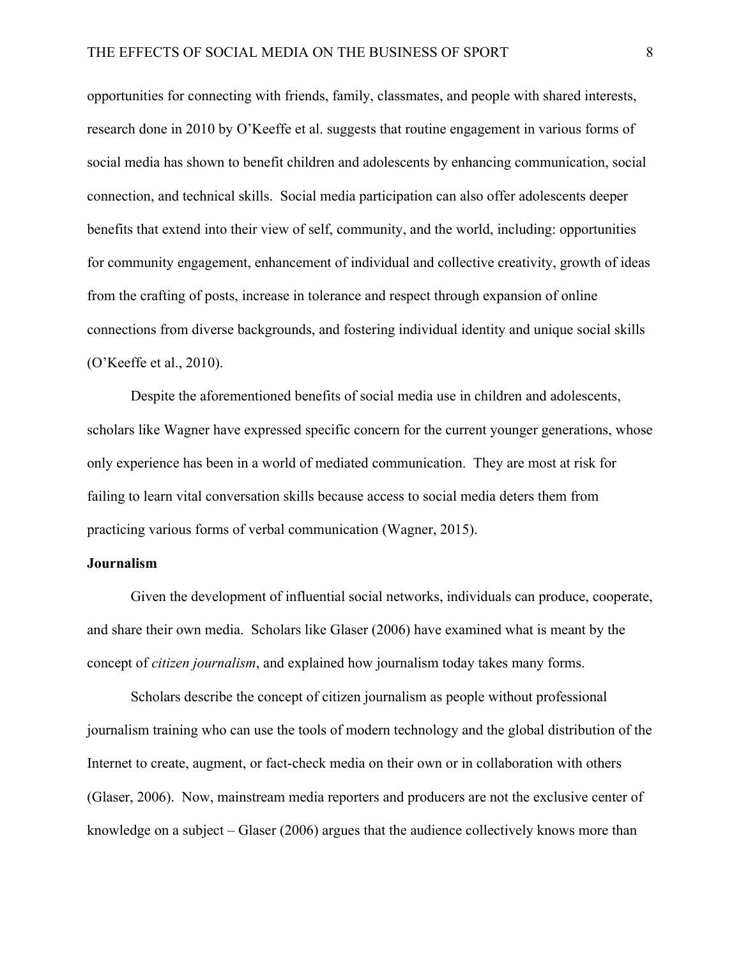opportunities for connecting with friends, family, classmates, and people with shared interests, research done in 2010 by O'Keeffe et al. suggests that routine engagement in various forms of social media has shown to benefit children and adolescents by enhancing communication, social connection, and technical skills. Social media participation can also offer adolescents deeper benefits that extend into their view of self, community, and the world, including: opportunities for community engagement, enhancement of individual and collective creativity, growth of ideas from the crafting of posts, increase in tolerance and respect through expansion of online connections from diverse backgrounds, and fostering individual identity and unique social skills (O'Keeffe et al., 2010).

Despite the aforementioned benefits of social media use in children and adolescents, scholars like Wagner have expressed specific concern for the current younger generations, whose only experience has been in a world of mediated communication. They are most at risk for failing to learn vital conversation skills because access to social media deters them from practicing various forms of verbal communication (Wagner, 2015).

#### **Journalism**

Given the development of influential social networks, individuals can produce, cooperate, and share their own media. Scholars like Glaser (2006) have examined what is meant by the concept of *citizen journalism*, and explained how journalism today takes many forms.

Scholars describe the concept of citizen journalism as people without professional journalism training who can use the tools of modern technology and the global distribution of the Internet to create, augment, or fact-check media on their own or in collaboration with others (Glaser, 2006). Now, mainstream media reporters and producers are not the exclusive center of knowledge on a subject – Glaser (2006) argues that the audience collectively knows more than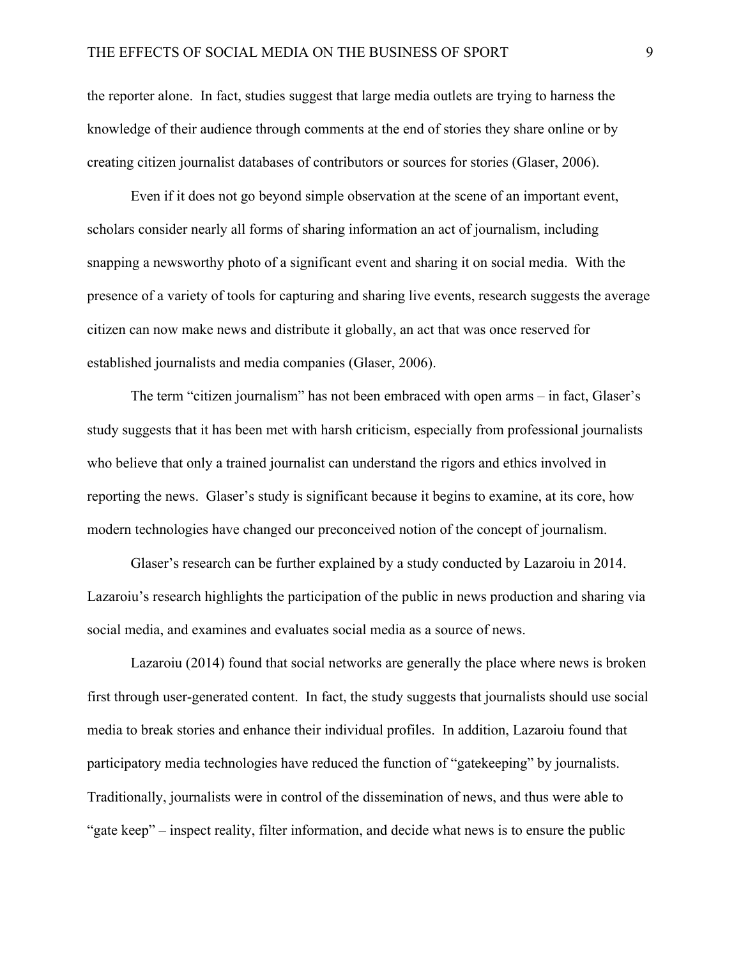the reporter alone. In fact, studies suggest that large media outlets are trying to harness the knowledge of their audience through comments at the end of stories they share online or by creating citizen journalist databases of contributors or sources for stories (Glaser, 2006).

Even if it does not go beyond simple observation at the scene of an important event, scholars consider nearly all forms of sharing information an act of journalism, including snapping a newsworthy photo of a significant event and sharing it on social media. With the presence of a variety of tools for capturing and sharing live events, research suggests the average citizen can now make news and distribute it globally, an act that was once reserved for established journalists and media companies (Glaser, 2006).

The term "citizen journalism" has not been embraced with open arms – in fact, Glaser's study suggests that it has been met with harsh criticism, especially from professional journalists who believe that only a trained journalist can understand the rigors and ethics involved in reporting the news. Glaser's study is significant because it begins to examine, at its core, how modern technologies have changed our preconceived notion of the concept of journalism.

Glaser's research can be further explained by a study conducted by Lazaroiu in 2014. Lazaroiu's research highlights the participation of the public in news production and sharing via social media, and examines and evaluates social media as a source of news.

Lazaroiu (2014) found that social networks are generally the place where news is broken first through user-generated content. In fact, the study suggests that journalists should use social media to break stories and enhance their individual profiles. In addition, Lazaroiu found that participatory media technologies have reduced the function of "gatekeeping" by journalists. Traditionally, journalists were in control of the dissemination of news, and thus were able to "gate keep" – inspect reality, filter information, and decide what news is to ensure the public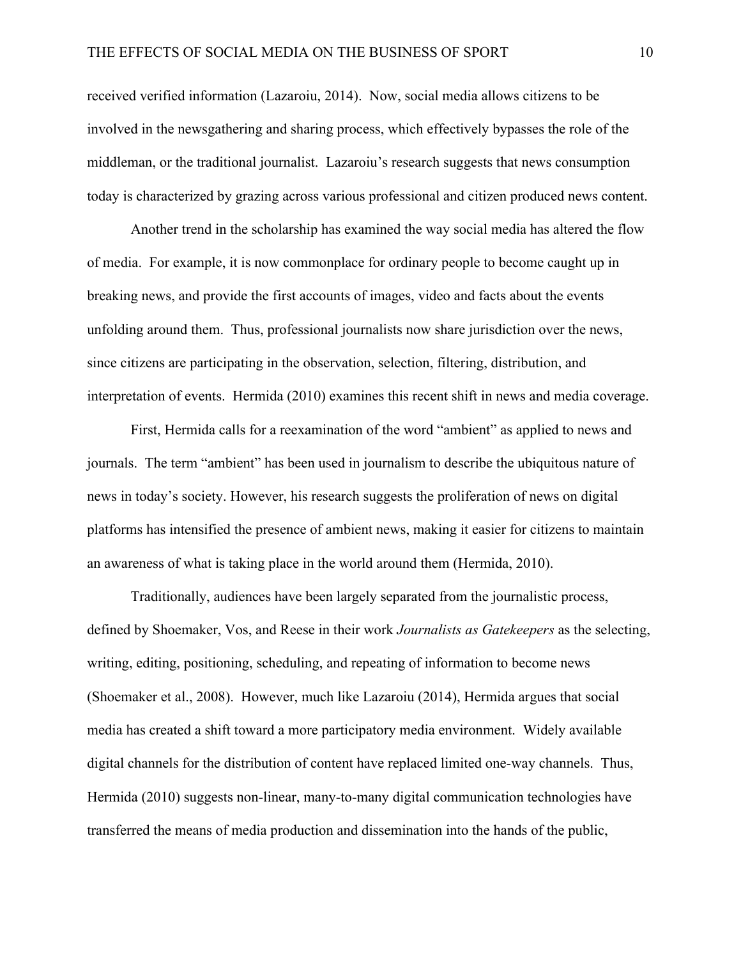received verified information (Lazaroiu, 2014). Now, social media allows citizens to be involved in the newsgathering and sharing process, which effectively bypasses the role of the middleman, or the traditional journalist. Lazaroiu's research suggests that news consumption today is characterized by grazing across various professional and citizen produced news content.

Another trend in the scholarship has examined the way social media has altered the flow of media. For example, it is now commonplace for ordinary people to become caught up in breaking news, and provide the first accounts of images, video and facts about the events unfolding around them. Thus, professional journalists now share jurisdiction over the news, since citizens are participating in the observation, selection, filtering, distribution, and interpretation of events. Hermida (2010) examines this recent shift in news and media coverage.

First, Hermida calls for a reexamination of the word "ambient" as applied to news and journals. The term "ambient" has been used in journalism to describe the ubiquitous nature of news in today's society. However, his research suggests the proliferation of news on digital platforms has intensified the presence of ambient news, making it easier for citizens to maintain an awareness of what is taking place in the world around them (Hermida, 2010).

Traditionally, audiences have been largely separated from the journalistic process, defined by Shoemaker, Vos, and Reese in their work *Journalists as Gatekeepers* as the selecting, writing, editing, positioning, scheduling, and repeating of information to become news (Shoemaker et al., 2008). However, much like Lazaroiu (2014), Hermida argues that social media has created a shift toward a more participatory media environment. Widely available digital channels for the distribution of content have replaced limited one-way channels. Thus, Hermida (2010) suggests non-linear, many-to-many digital communication technologies have transferred the means of media production and dissemination into the hands of the public,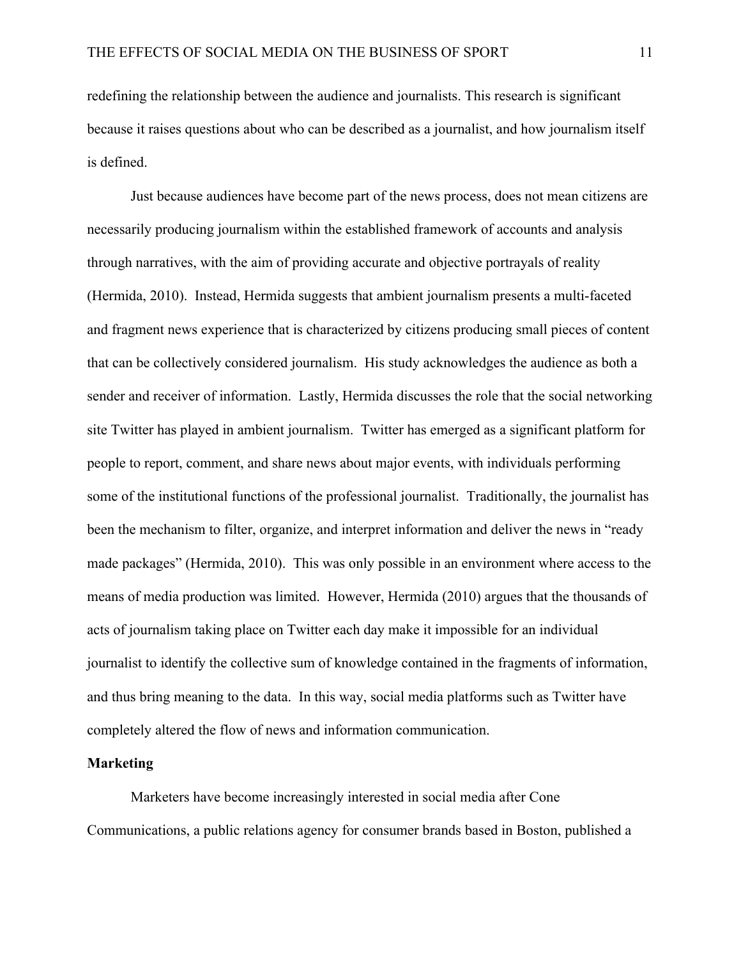redefining the relationship between the audience and journalists. This research is significant because it raises questions about who can be described as a journalist, and how journalism itself is defined.

Just because audiences have become part of the news process, does not mean citizens are necessarily producing journalism within the established framework of accounts and analysis through narratives, with the aim of providing accurate and objective portrayals of reality (Hermida, 2010). Instead, Hermida suggests that ambient journalism presents a multi-faceted and fragment news experience that is characterized by citizens producing small pieces of content that can be collectively considered journalism. His study acknowledges the audience as both a sender and receiver of information. Lastly, Hermida discusses the role that the social networking site Twitter has played in ambient journalism. Twitter has emerged as a significant platform for people to report, comment, and share news about major events, with individuals performing some of the institutional functions of the professional journalist. Traditionally, the journalist has been the mechanism to filter, organize, and interpret information and deliver the news in "ready made packages" (Hermida, 2010). This was only possible in an environment where access to the means of media production was limited. However, Hermida (2010) argues that the thousands of acts of journalism taking place on Twitter each day make it impossible for an individual journalist to identify the collective sum of knowledge contained in the fragments of information, and thus bring meaning to the data. In this way, social media platforms such as Twitter have completely altered the flow of news and information communication.

#### **Marketing**

Marketers have become increasingly interested in social media after Cone Communications, a public relations agency for consumer brands based in Boston, published a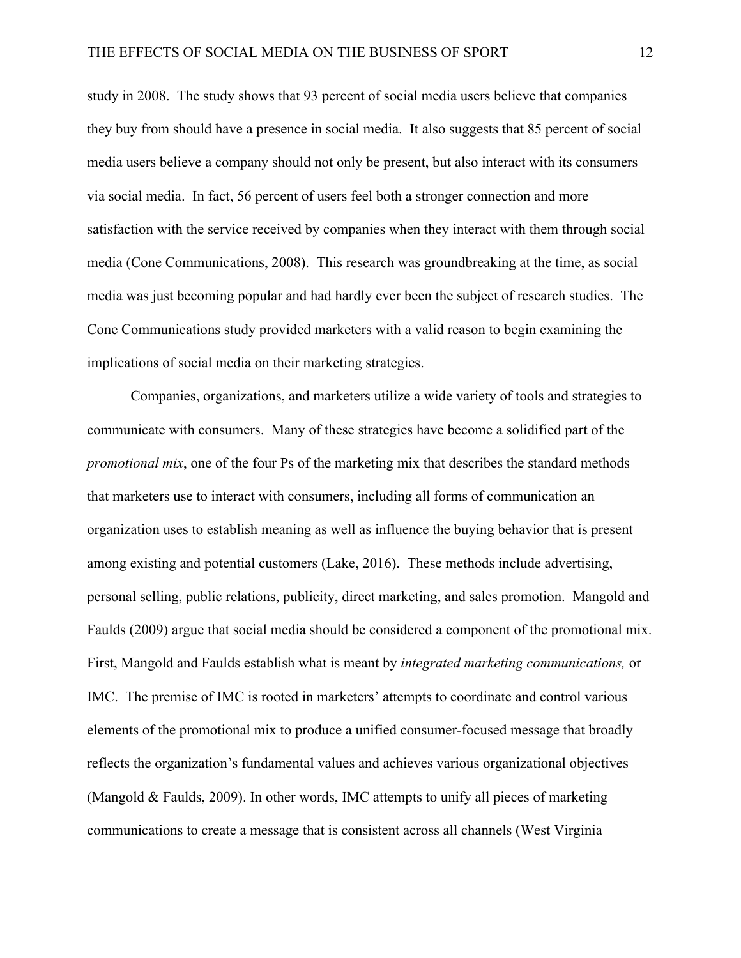study in 2008. The study shows that 93 percent of social media users believe that companies they buy from should have a presence in social media. It also suggests that 85 percent of social media users believe a company should not only be present, but also interact with its consumers via social media. In fact, 56 percent of users feel both a stronger connection and more satisfaction with the service received by companies when they interact with them through social media (Cone Communications, 2008). This research was groundbreaking at the time, as social media was just becoming popular and had hardly ever been the subject of research studies. The Cone Communications study provided marketers with a valid reason to begin examining the implications of social media on their marketing strategies.

Companies, organizations, and marketers utilize a wide variety of tools and strategies to communicate with consumers. Many of these strategies have become a solidified part of the *promotional mix*, one of the four Ps of the marketing mix that describes the standard methods that marketers use to interact with consumers, including all forms of communication an organization uses to establish meaning as well as influence the buying behavior that is present among existing and potential customers (Lake, 2016). These methods include advertising, personal selling, public relations, publicity, direct marketing, and sales promotion. Mangold and Faulds (2009) argue that social media should be considered a component of the promotional mix. First, Mangold and Faulds establish what is meant by *integrated marketing communications,* or IMC. The premise of IMC is rooted in marketers' attempts to coordinate and control various elements of the promotional mix to produce a unified consumer-focused message that broadly reflects the organization's fundamental values and achieves various organizational objectives (Mangold & Faulds, 2009). In other words, IMC attempts to unify all pieces of marketing communications to create a message that is consistent across all channels (West Virginia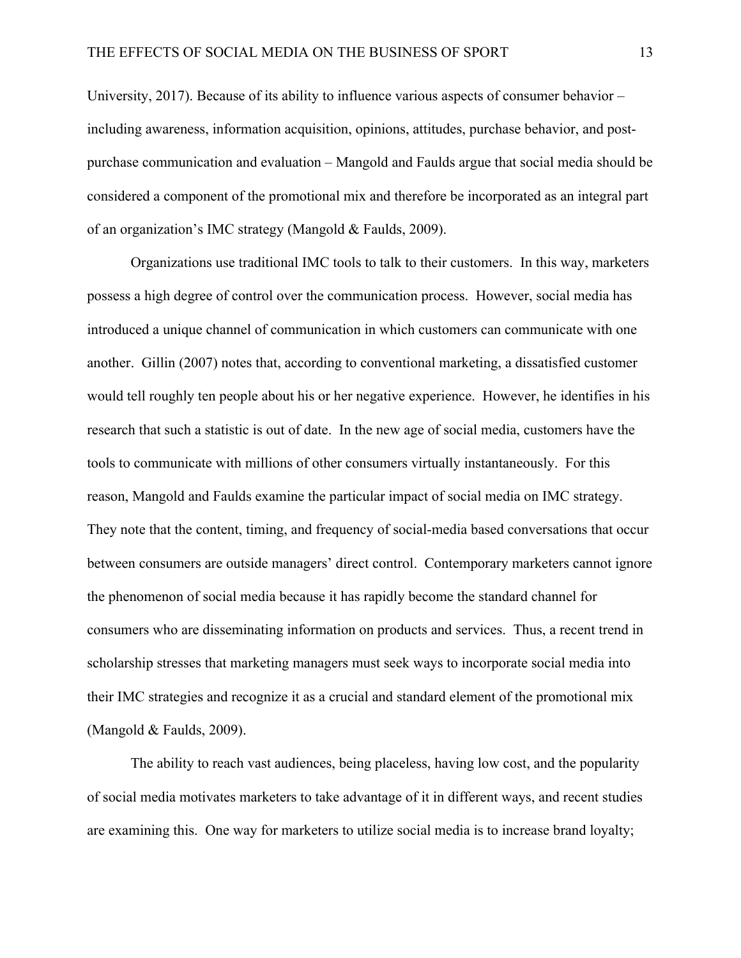University, 2017). Because of its ability to influence various aspects of consumer behavior – including awareness, information acquisition, opinions, attitudes, purchase behavior, and postpurchase communication and evaluation – Mangold and Faulds argue that social media should be considered a component of the promotional mix and therefore be incorporated as an integral part of an organization's IMC strategy (Mangold & Faulds, 2009).

Organizations use traditional IMC tools to talk to their customers. In this way, marketers possess a high degree of control over the communication process. However, social media has introduced a unique channel of communication in which customers can communicate with one another. Gillin (2007) notes that, according to conventional marketing, a dissatisfied customer would tell roughly ten people about his or her negative experience. However, he identifies in his research that such a statistic is out of date. In the new age of social media, customers have the tools to communicate with millions of other consumers virtually instantaneously. For this reason, Mangold and Faulds examine the particular impact of social media on IMC strategy. They note that the content, timing, and frequency of social-media based conversations that occur between consumers are outside managers' direct control. Contemporary marketers cannot ignore the phenomenon of social media because it has rapidly become the standard channel for consumers who are disseminating information on products and services. Thus, a recent trend in scholarship stresses that marketing managers must seek ways to incorporate social media into their IMC strategies and recognize it as a crucial and standard element of the promotional mix (Mangold & Faulds, 2009).

The ability to reach vast audiences, being placeless, having low cost, and the popularity of social media motivates marketers to take advantage of it in different ways, and recent studies are examining this. One way for marketers to utilize social media is to increase brand loyalty;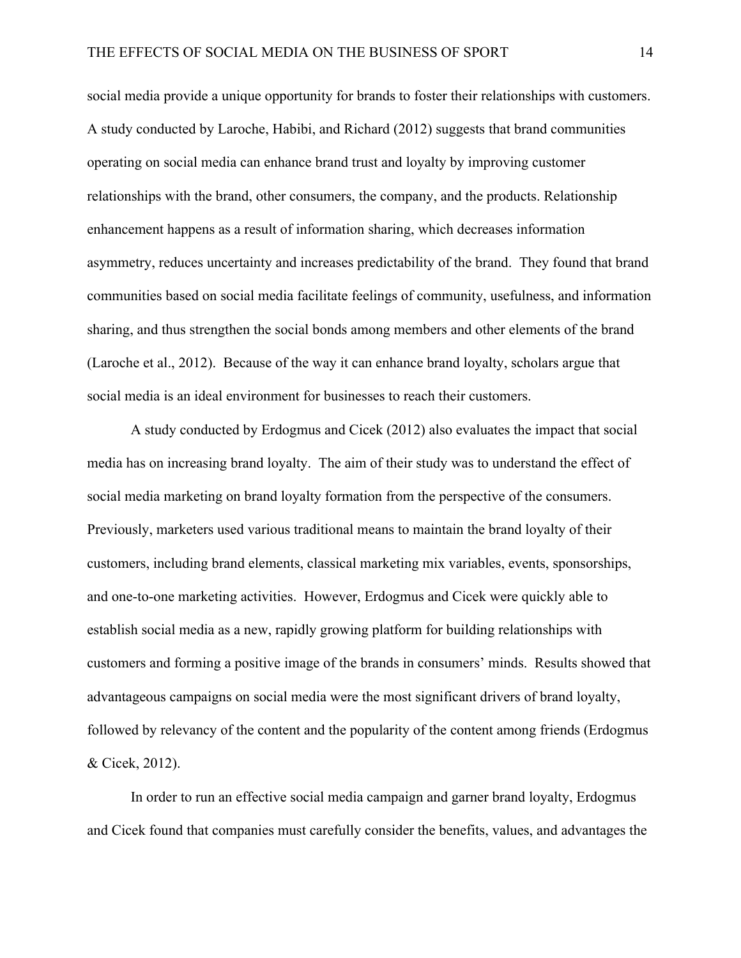social media provide a unique opportunity for brands to foster their relationships with customers. A study conducted by Laroche, Habibi, and Richard (2012) suggests that brand communities operating on social media can enhance brand trust and loyalty by improving customer relationships with the brand, other consumers, the company, and the products. Relationship enhancement happens as a result of information sharing, which decreases information asymmetry, reduces uncertainty and increases predictability of the brand. They found that brand communities based on social media facilitate feelings of community, usefulness, and information sharing, and thus strengthen the social bonds among members and other elements of the brand (Laroche et al., 2012). Because of the way it can enhance brand loyalty, scholars argue that social media is an ideal environment for businesses to reach their customers.

A study conducted by Erdogmus and Cicek (2012) also evaluates the impact that social media has on increasing brand loyalty. The aim of their study was to understand the effect of social media marketing on brand loyalty formation from the perspective of the consumers. Previously, marketers used various traditional means to maintain the brand loyalty of their customers, including brand elements, classical marketing mix variables, events, sponsorships, and one-to-one marketing activities. However, Erdogmus and Cicek were quickly able to establish social media as a new, rapidly growing platform for building relationships with customers and forming a positive image of the brands in consumers' minds. Results showed that advantageous campaigns on social media were the most significant drivers of brand loyalty, followed by relevancy of the content and the popularity of the content among friends (Erdogmus & Cicek, 2012).

In order to run an effective social media campaign and garner brand loyalty, Erdogmus and Cicek found that companies must carefully consider the benefits, values, and advantages the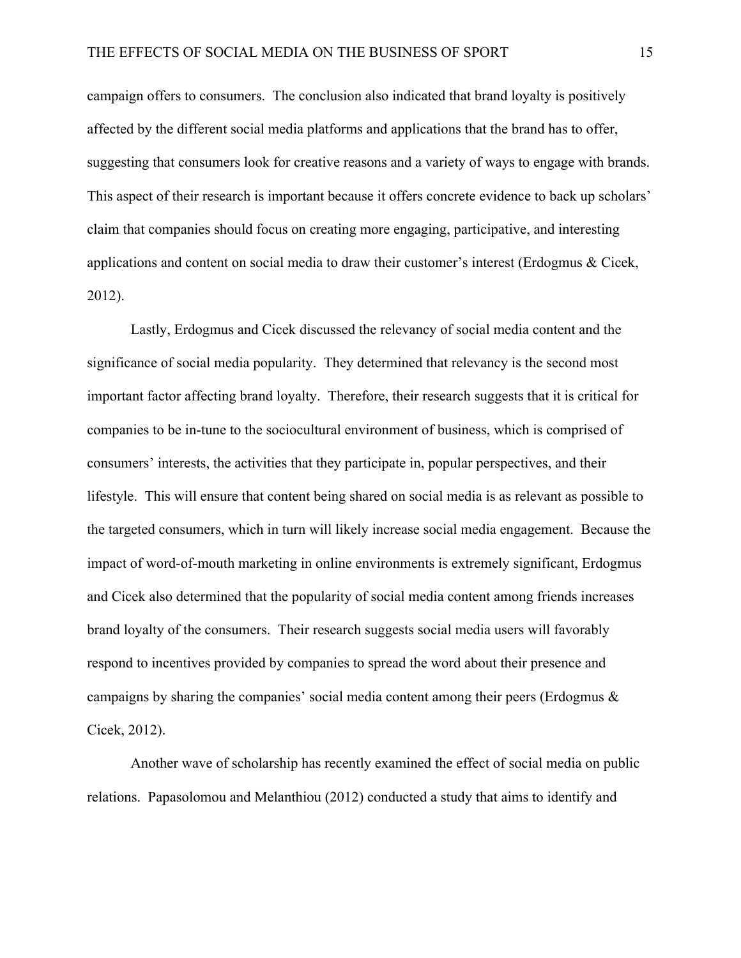campaign offers to consumers. The conclusion also indicated that brand loyalty is positively affected by the different social media platforms and applications that the brand has to offer, suggesting that consumers look for creative reasons and a variety of ways to engage with brands. This aspect of their research is important because it offers concrete evidence to back up scholars' claim that companies should focus on creating more engaging, participative, and interesting applications and content on social media to draw their customer's interest (Erdogmus & Cicek, 2012).

Lastly, Erdogmus and Cicek discussed the relevancy of social media content and the significance of social media popularity. They determined that relevancy is the second most important factor affecting brand loyalty. Therefore, their research suggests that it is critical for companies to be in-tune to the sociocultural environment of business, which is comprised of consumers' interests, the activities that they participate in, popular perspectives, and their lifestyle. This will ensure that content being shared on social media is as relevant as possible to the targeted consumers, which in turn will likely increase social media engagement. Because the impact of word-of-mouth marketing in online environments is extremely significant, Erdogmus and Cicek also determined that the popularity of social media content among friends increases brand loyalty of the consumers. Their research suggests social media users will favorably respond to incentives provided by companies to spread the word about their presence and campaigns by sharing the companies' social media content among their peers (Erdogmus & Cicek, 2012).

Another wave of scholarship has recently examined the effect of social media on public relations. Papasolomou and Melanthiou (2012) conducted a study that aims to identify and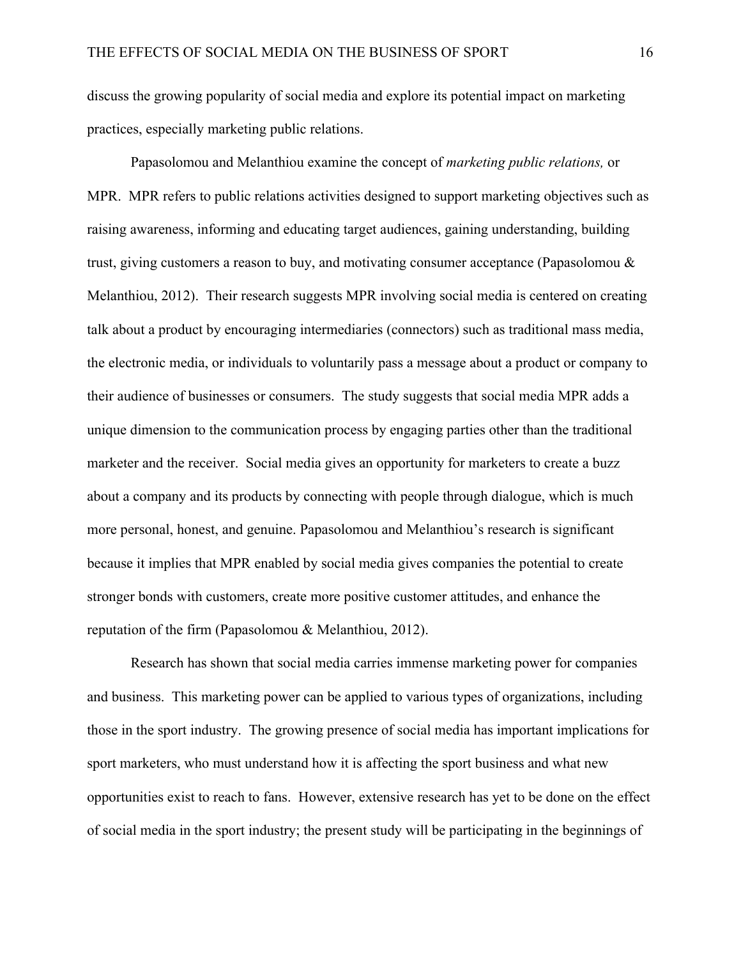discuss the growing popularity of social media and explore its potential impact on marketing practices, especially marketing public relations.

Papasolomou and Melanthiou examine the concept of *marketing public relations,* or MPR. MPR refers to public relations activities designed to support marketing objectives such as raising awareness, informing and educating target audiences, gaining understanding, building trust, giving customers a reason to buy, and motivating consumer acceptance (Papasolomou & Melanthiou, 2012). Their research suggests MPR involving social media is centered on creating talk about a product by encouraging intermediaries (connectors) such as traditional mass media, the electronic media, or individuals to voluntarily pass a message about a product or company to their audience of businesses or consumers. The study suggests that social media MPR adds a unique dimension to the communication process by engaging parties other than the traditional marketer and the receiver. Social media gives an opportunity for marketers to create a buzz about a company and its products by connecting with people through dialogue, which is much more personal, honest, and genuine. Papasolomou and Melanthiou's research is significant because it implies that MPR enabled by social media gives companies the potential to create stronger bonds with customers, create more positive customer attitudes, and enhance the reputation of the firm (Papasolomou & Melanthiou, 2012).

Research has shown that social media carries immense marketing power for companies and business. This marketing power can be applied to various types of organizations, including those in the sport industry. The growing presence of social media has important implications for sport marketers, who must understand how it is affecting the sport business and what new opportunities exist to reach to fans. However, extensive research has yet to be done on the effect of social media in the sport industry; the present study will be participating in the beginnings of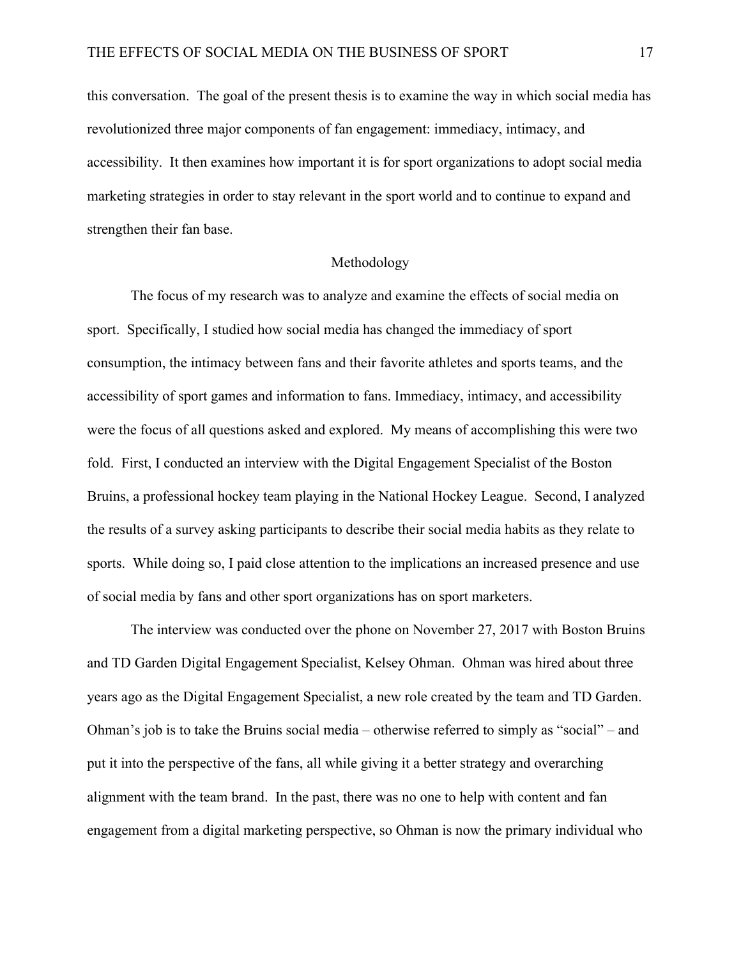this conversation. The goal of the present thesis is to examine the way in which social media has revolutionized three major components of fan engagement: immediacy, intimacy, and accessibility. It then examines how important it is for sport organizations to adopt social media marketing strategies in order to stay relevant in the sport world and to continue to expand and strengthen their fan base.

#### Methodology

The focus of my research was to analyze and examine the effects of social media on sport. Specifically, I studied how social media has changed the immediacy of sport consumption, the intimacy between fans and their favorite athletes and sports teams, and the accessibility of sport games and information to fans. Immediacy, intimacy, and accessibility were the focus of all questions asked and explored. My means of accomplishing this were two fold. First, I conducted an interview with the Digital Engagement Specialist of the Boston Bruins, a professional hockey team playing in the National Hockey League. Second, I analyzed the results of a survey asking participants to describe their social media habits as they relate to sports. While doing so, I paid close attention to the implications an increased presence and use of social media by fans and other sport organizations has on sport marketers.

The interview was conducted over the phone on November 27, 2017 with Boston Bruins and TD Garden Digital Engagement Specialist, Kelsey Ohman. Ohman was hired about three years ago as the Digital Engagement Specialist, a new role created by the team and TD Garden. Ohman's job is to take the Bruins social media – otherwise referred to simply as "social" – and put it into the perspective of the fans, all while giving it a better strategy and overarching alignment with the team brand. In the past, there was no one to help with content and fan engagement from a digital marketing perspective, so Ohman is now the primary individual who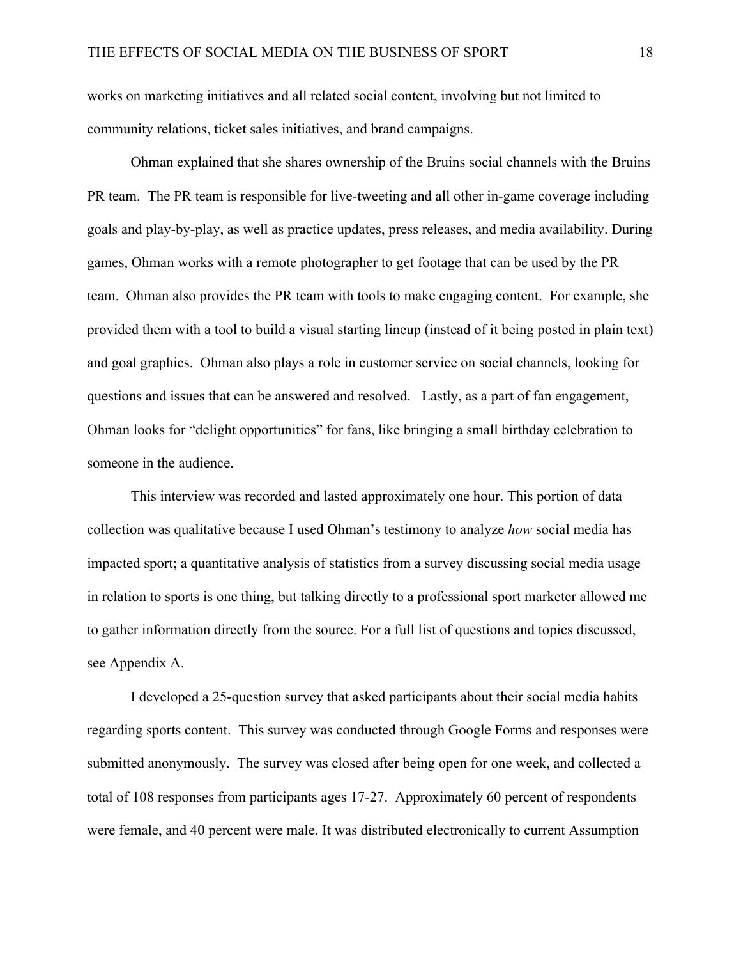works on marketing initiatives and all related social content, involving but not limited to community relations, ticket sales initiatives, and brand campaigns.

Ohman explained that she shares ownership of the Bruins social channels with the Bruins PR team. The PR team is responsible for live-tweeting and all other in-game coverage including goals and play-by-play, as well as practice updates, press releases, and media availability. During games, Ohman works with a remote photographer to get footage that can be used by the PR team. Ohman also provides the PR team with tools to make engaging content. For example, she provided them with a tool to build a visual starting lineup (instead of it being posted in plain text) and goal graphics. Ohman also plays a role in customer service on social channels, looking for questions and issues that can be answered and resolved. Lastly, as a part of fan engagement, Ohman looks for "delight opportunities" for fans, like bringing a small birthday celebration to someone in the audience.

This interview was recorded and lasted approximately one hour. This portion of data collection was qualitative because I used Ohman's testimony to analyze *how* social media has impacted sport; a quantitative analysis of statistics from a survey discussing social media usage in relation to sports is one thing, but talking directly to a professional sport marketer allowed me to gather information directly from the source. For a full list of questions and topics discussed, see Appendix A.

I developed a 25-question survey that asked participants about their social media habits regarding sports content. This survey was conducted through Google Forms and responses were submitted anonymously. The survey was closed after being open for one week, and collected a total of 108 responses from participants ages 17-27. Approximately 60 percent of respondents were female, and 40 percent were male. It was distributed electronically to current Assumption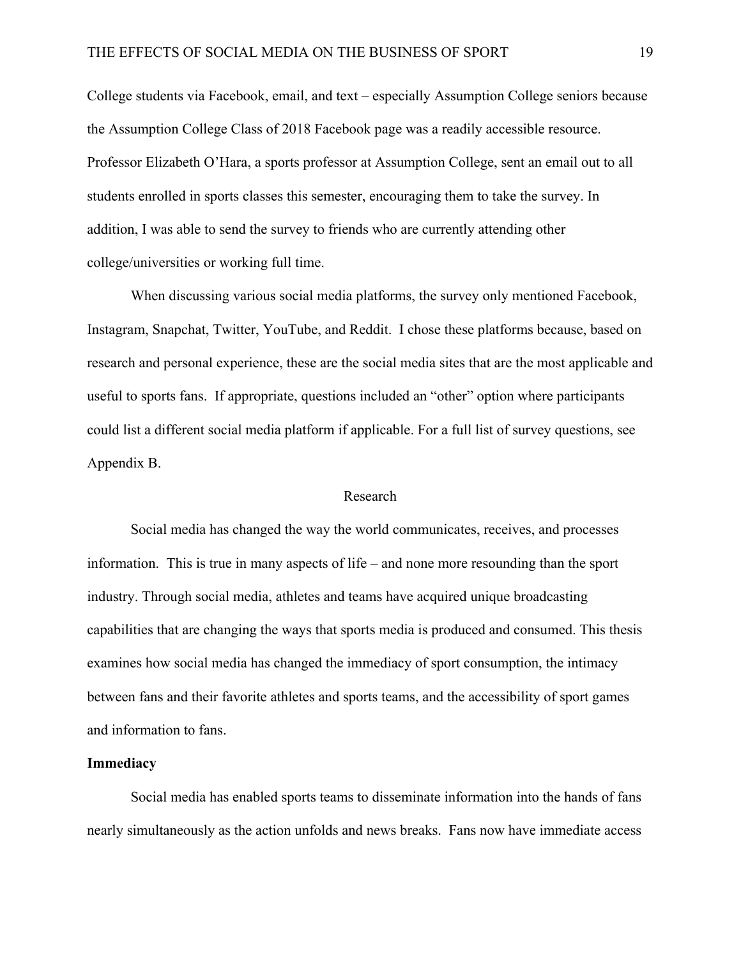College students via Facebook, email, and text – especially Assumption College seniors because the Assumption College Class of 2018 Facebook page was a readily accessible resource. Professor Elizabeth O'Hara, a sports professor at Assumption College, sent an email out to all students enrolled in sports classes this semester, encouraging them to take the survey. In addition, I was able to send the survey to friends who are currently attending other college/universities or working full time.

When discussing various social media platforms, the survey only mentioned Facebook, Instagram, Snapchat, Twitter, YouTube, and Reddit. I chose these platforms because, based on research and personal experience, these are the social media sites that are the most applicable and useful to sports fans. If appropriate, questions included an "other" option where participants could list a different social media platform if applicable. For a full list of survey questions, see Appendix B.

#### Research

Social media has changed the way the world communicates, receives, and processes information. This is true in many aspects of life – and none more resounding than the sport industry. Through social media, athletes and teams have acquired unique broadcasting capabilities that are changing the ways that sports media is produced and consumed. This thesis examines how social media has changed the immediacy of sport consumption, the intimacy between fans and their favorite athletes and sports teams, and the accessibility of sport games and information to fans.

#### **Immediacy**

Social media has enabled sports teams to disseminate information into the hands of fans nearly simultaneously as the action unfolds and news breaks. Fans now have immediate access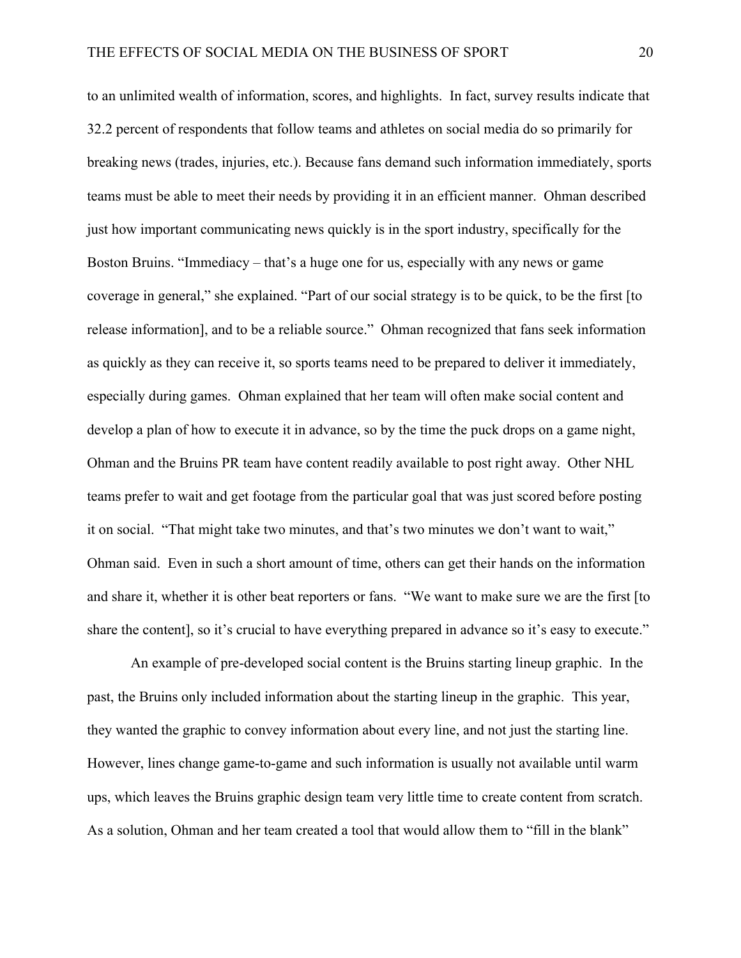to an unlimited wealth of information, scores, and highlights. In fact, survey results indicate that 32.2 percent of respondents that follow teams and athletes on social media do so primarily for breaking news (trades, injuries, etc.). Because fans demand such information immediately, sports teams must be able to meet their needs by providing it in an efficient manner. Ohman described just how important communicating news quickly is in the sport industry, specifically for the Boston Bruins. "Immediacy – that's a huge one for us, especially with any news or game coverage in general," she explained. "Part of our social strategy is to be quick, to be the first [to release information], and to be a reliable source." Ohman recognized that fans seek information as quickly as they can receive it, so sports teams need to be prepared to deliver it immediately, especially during games. Ohman explained that her team will often make social content and develop a plan of how to execute it in advance, so by the time the puck drops on a game night, Ohman and the Bruins PR team have content readily available to post right away. Other NHL teams prefer to wait and get footage from the particular goal that was just scored before posting it on social. "That might take two minutes, and that's two minutes we don't want to wait," Ohman said. Even in such a short amount of time, others can get their hands on the information and share it, whether it is other beat reporters or fans. "We want to make sure we are the first [to share the content], so it's crucial to have everything prepared in advance so it's easy to execute."

An example of pre-developed social content is the Bruins starting lineup graphic. In the past, the Bruins only included information about the starting lineup in the graphic. This year, they wanted the graphic to convey information about every line, and not just the starting line. However, lines change game-to-game and such information is usually not available until warm ups, which leaves the Bruins graphic design team very little time to create content from scratch. As a solution, Ohman and her team created a tool that would allow them to "fill in the blank"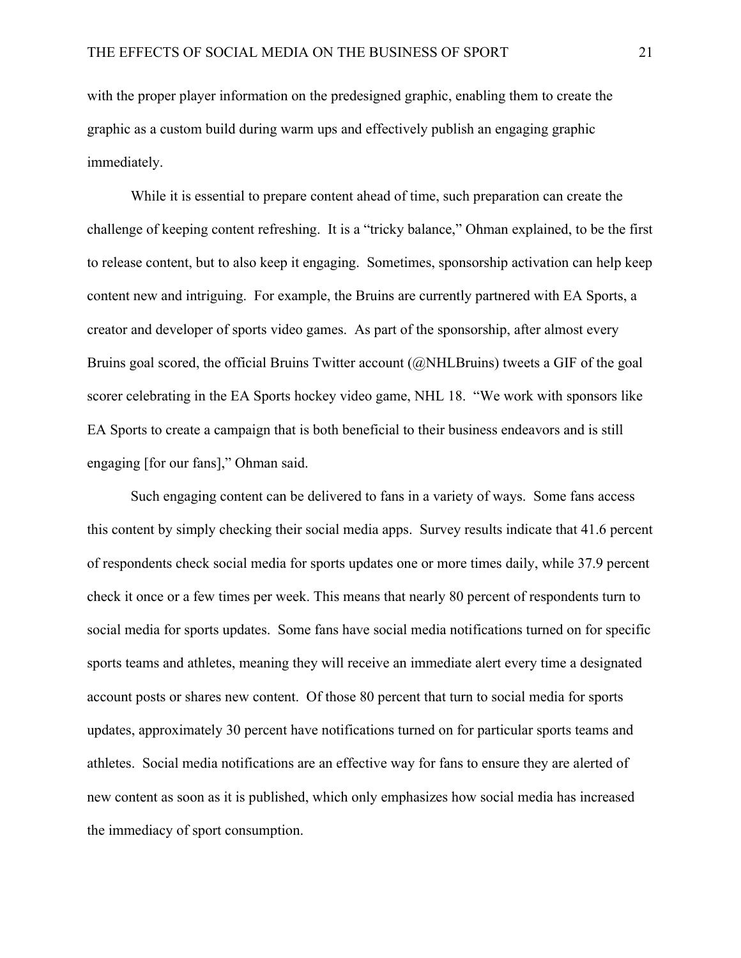with the proper player information on the predesigned graphic, enabling them to create the graphic as a custom build during warm ups and effectively publish an engaging graphic immediately.

While it is essential to prepare content ahead of time, such preparation can create the challenge of keeping content refreshing. It is a "tricky balance," Ohman explained, to be the first to release content, but to also keep it engaging. Sometimes, sponsorship activation can help keep content new and intriguing. For example, the Bruins are currently partnered with EA Sports, a creator and developer of sports video games. As part of the sponsorship, after almost every Bruins goal scored, the official Bruins Twitter account (@NHLBruins) tweets a GIF of the goal scorer celebrating in the EA Sports hockey video game, NHL 18. "We work with sponsors like EA Sports to create a campaign that is both beneficial to their business endeavors and is still engaging [for our fans]," Ohman said.

Such engaging content can be delivered to fans in a variety of ways. Some fans access this content by simply checking their social media apps. Survey results indicate that 41.6 percent of respondents check social media for sports updates one or more times daily, while 37.9 percent check it once or a few times per week. This means that nearly 80 percent of respondents turn to social media for sports updates. Some fans have social media notifications turned on for specific sports teams and athletes, meaning they will receive an immediate alert every time a designated account posts or shares new content. Of those 80 percent that turn to social media for sports updates, approximately 30 percent have notifications turned on for particular sports teams and athletes. Social media notifications are an effective way for fans to ensure they are alerted of new content as soon as it is published, which only emphasizes how social media has increased the immediacy of sport consumption.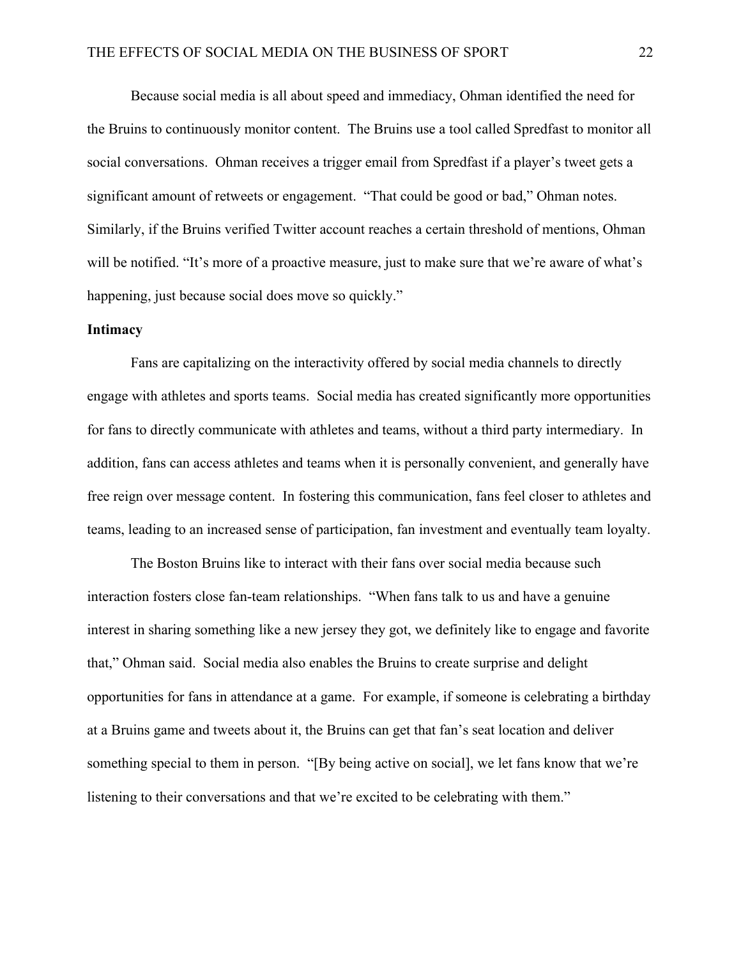Because social media is all about speed and immediacy, Ohman identified the need for the Bruins to continuously monitor content. The Bruins use a tool called Spredfast to monitor all social conversations. Ohman receives a trigger email from Spredfast if a player's tweet gets a significant amount of retweets or engagement. "That could be good or bad," Ohman notes. Similarly, if the Bruins verified Twitter account reaches a certain threshold of mentions, Ohman will be notified. "It's more of a proactive measure, just to make sure that we're aware of what's happening, just because social does move so quickly."

#### **Intimacy**

Fans are capitalizing on the interactivity offered by social media channels to directly engage with athletes and sports teams. Social media has created significantly more opportunities for fans to directly communicate with athletes and teams, without a third party intermediary. In addition, fans can access athletes and teams when it is personally convenient, and generally have free reign over message content. In fostering this communication, fans feel closer to athletes and teams, leading to an increased sense of participation, fan investment and eventually team loyalty.

The Boston Bruins like to interact with their fans over social media because such interaction fosters close fan-team relationships. "When fans talk to us and have a genuine interest in sharing something like a new jersey they got, we definitely like to engage and favorite that," Ohman said. Social media also enables the Bruins to create surprise and delight opportunities for fans in attendance at a game. For example, if someone is celebrating a birthday at a Bruins game and tweets about it, the Bruins can get that fan's seat location and deliver something special to them in person. "[By being active on social], we let fans know that we're listening to their conversations and that we're excited to be celebrating with them."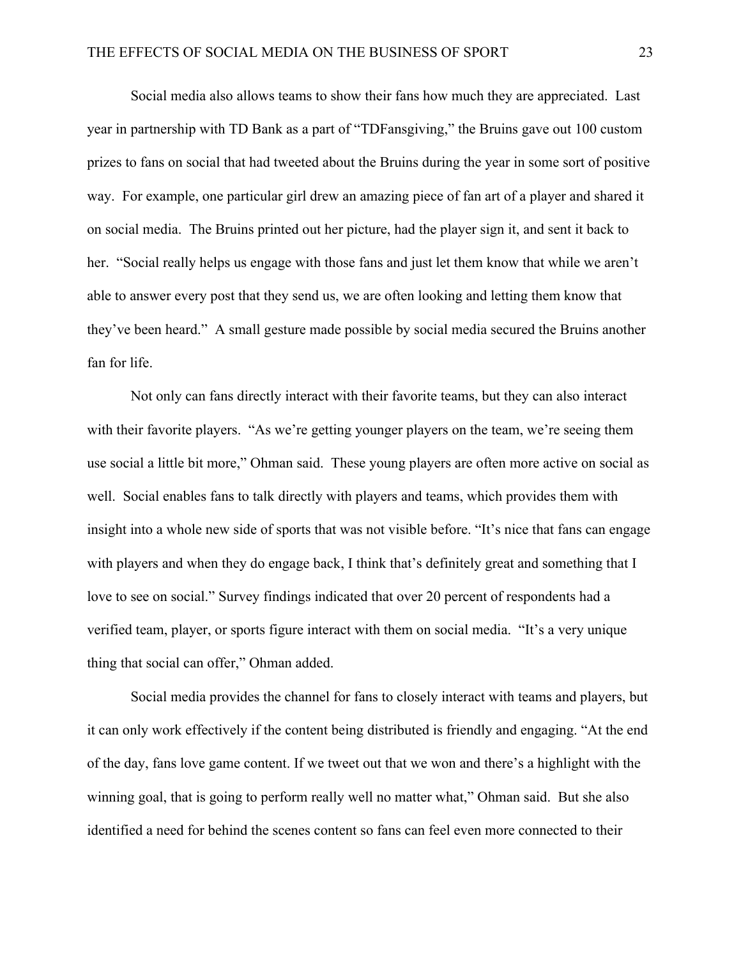Social media also allows teams to show their fans how much they are appreciated. Last year in partnership with TD Bank as a part of "TDFansgiving," the Bruins gave out 100 custom prizes to fans on social that had tweeted about the Bruins during the year in some sort of positive way. For example, one particular girl drew an amazing piece of fan art of a player and shared it on social media. The Bruins printed out her picture, had the player sign it, and sent it back to her. "Social really helps us engage with those fans and just let them know that while we aren't able to answer every post that they send us, we are often looking and letting them know that they've been heard." A small gesture made possible by social media secured the Bruins another fan for life.

Not only can fans directly interact with their favorite teams, but they can also interact with their favorite players. "As we're getting younger players on the team, we're seeing them use social a little bit more," Ohman said. These young players are often more active on social as well. Social enables fans to talk directly with players and teams, which provides them with insight into a whole new side of sports that was not visible before. "It's nice that fans can engage with players and when they do engage back, I think that's definitely great and something that I love to see on social." Survey findings indicated that over 20 percent of respondents had a verified team, player, or sports figure interact with them on social media. "It's a very unique thing that social can offer," Ohman added.

Social media provides the channel for fans to closely interact with teams and players, but it can only work effectively if the content being distributed is friendly and engaging. "At the end of the day, fans love game content. If we tweet out that we won and there's a highlight with the winning goal, that is going to perform really well no matter what," Ohman said. But she also identified a need for behind the scenes content so fans can feel even more connected to their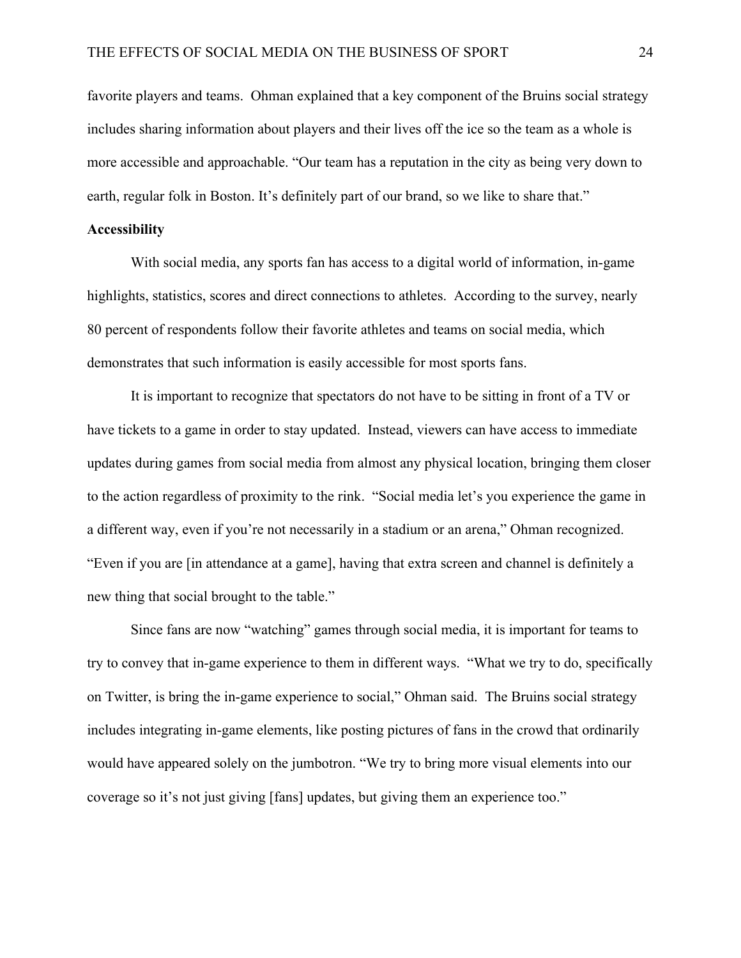favorite players and teams. Ohman explained that a key component of the Bruins social strategy includes sharing information about players and their lives off the ice so the team as a whole is more accessible and approachable. "Our team has a reputation in the city as being very down to earth, regular folk in Boston. It's definitely part of our brand, so we like to share that."

#### **Accessibility**

With social media, any sports fan has access to a digital world of information, in-game highlights, statistics, scores and direct connections to athletes. According to the survey, nearly 80 percent of respondents follow their favorite athletes and teams on social media, which demonstrates that such information is easily accessible for most sports fans.

It is important to recognize that spectators do not have to be sitting in front of a TV or have tickets to a game in order to stay updated. Instead, viewers can have access to immediate updates during games from social media from almost any physical location, bringing them closer to the action regardless of proximity to the rink. "Social media let's you experience the game in a different way, even if you're not necessarily in a stadium or an arena," Ohman recognized. "Even if you are [in attendance at a game], having that extra screen and channel is definitely a new thing that social brought to the table."

Since fans are now "watching" games through social media, it is important for teams to try to convey that in-game experience to them in different ways. "What we try to do, specifically on Twitter, is bring the in-game experience to social," Ohman said. The Bruins social strategy includes integrating in-game elements, like posting pictures of fans in the crowd that ordinarily would have appeared solely on the jumbotron. "We try to bring more visual elements into our coverage so it's not just giving [fans] updates, but giving them an experience too."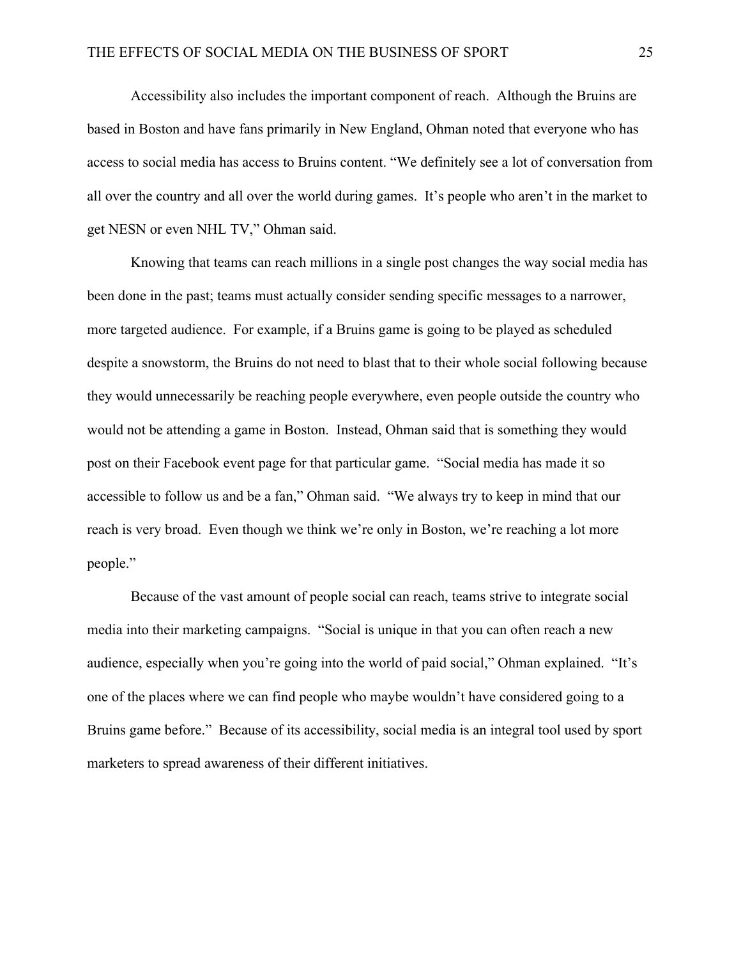Accessibility also includes the important component of reach. Although the Bruins are based in Boston and have fans primarily in New England, Ohman noted that everyone who has access to social media has access to Bruins content. "We definitely see a lot of conversation from all over the country and all over the world during games. It's people who aren't in the market to get NESN or even NHL TV," Ohman said.

Knowing that teams can reach millions in a single post changes the way social media has been done in the past; teams must actually consider sending specific messages to a narrower, more targeted audience. For example, if a Bruins game is going to be played as scheduled despite a snowstorm, the Bruins do not need to blast that to their whole social following because they would unnecessarily be reaching people everywhere, even people outside the country who would not be attending a game in Boston. Instead, Ohman said that is something they would post on their Facebook event page for that particular game. "Social media has made it so accessible to follow us and be a fan," Ohman said. "We always try to keep in mind that our reach is very broad. Even though we think we're only in Boston, we're reaching a lot more people."

Because of the vast amount of people social can reach, teams strive to integrate social media into their marketing campaigns. "Social is unique in that you can often reach a new audience, especially when you're going into the world of paid social," Ohman explained. "It's one of the places where we can find people who maybe wouldn't have considered going to a Bruins game before." Because of its accessibility, social media is an integral tool used by sport marketers to spread awareness of their different initiatives.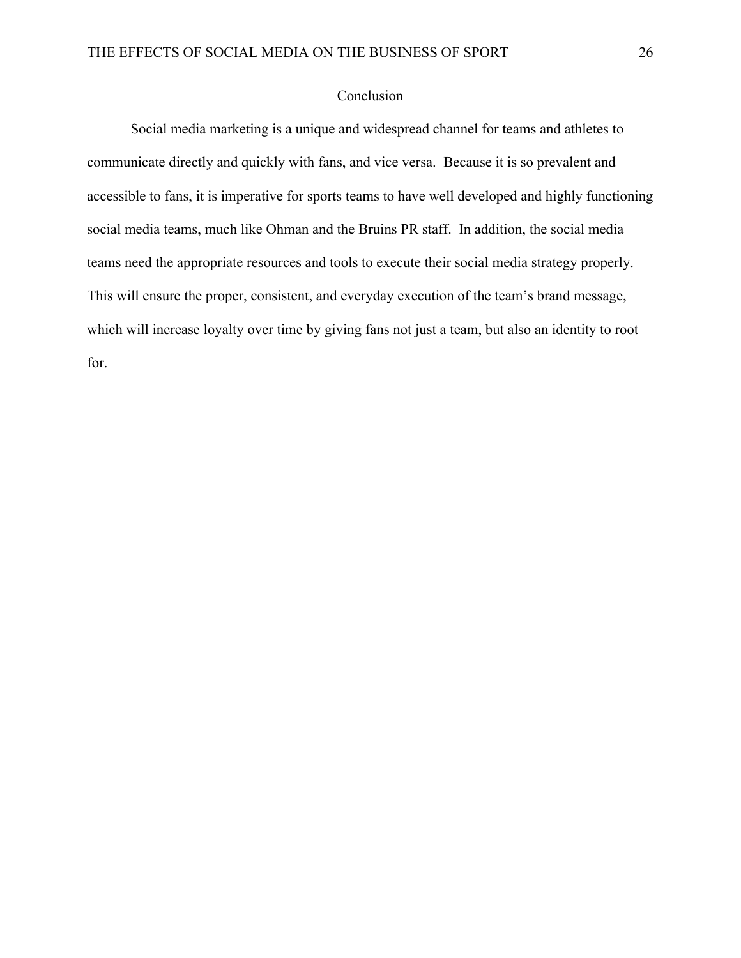### Conclusion

Social media marketing is a unique and widespread channel for teams and athletes to communicate directly and quickly with fans, and vice versa. Because it is so prevalent and accessible to fans, it is imperative for sports teams to have well developed and highly functioning social media teams, much like Ohman and the Bruins PR staff. In addition, the social media teams need the appropriate resources and tools to execute their social media strategy properly. This will ensure the proper, consistent, and everyday execution of the team's brand message, which will increase loyalty over time by giving fans not just a team, but also an identity to root for.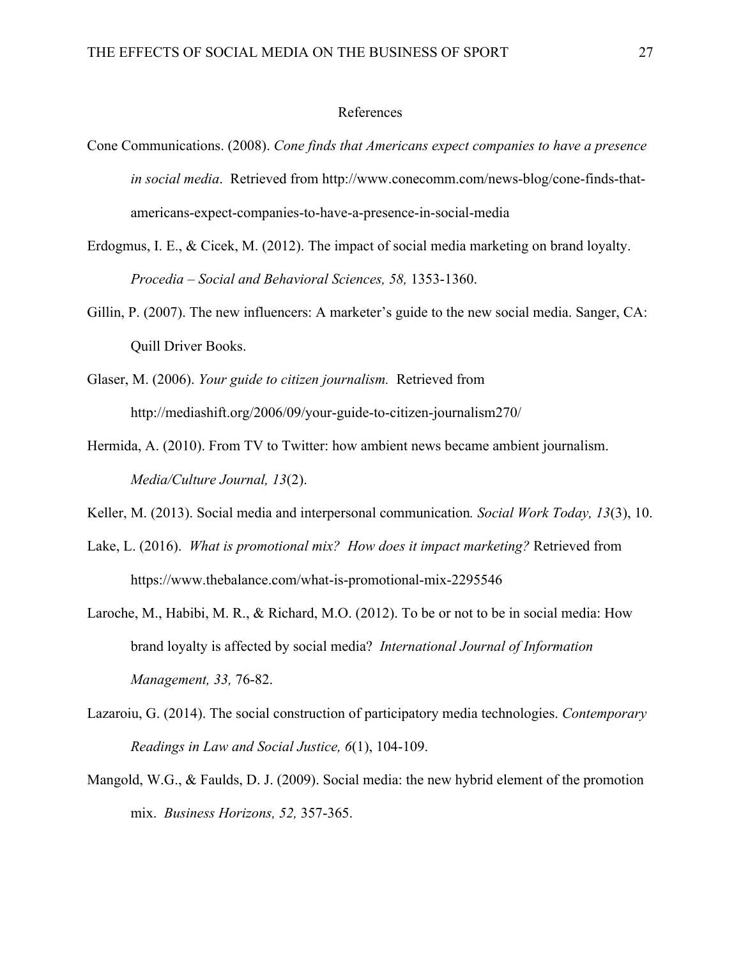#### References

- Cone Communications. (2008). *Cone finds that Americans expect companies to have a presence in social media*. Retrieved from http://www.conecomm.com/news-blog/cone-finds-thatamericans-expect-companies-to-have-a-presence-in-social-media
- Erdogmus, I. E., & Cicek, M. (2012). The impact of social media marketing on brand loyalty. *Procedia – Social and Behavioral Sciences, 58,* 1353-1360.
- Gillin, P. (2007). The new influencers: A marketer's guide to the new social media. Sanger, CA: Quill Driver Books.
- Glaser, M. (2006). *Your guide to citizen journalism.* Retrieved from http://mediashift.org/2006/09/your-guide-to-citizen-journalism270/
- Hermida, A. (2010). From TV to Twitter: how ambient news became ambient journalism. *Media/Culture Journal, 13*(2).
- Keller, M. (2013). Social media and interpersonal communication*. Social Work Today, 13*(3), 10.
- Lake, L. (2016). *What is promotional mix? How does it impact marketing?* Retrieved from https://www.thebalance.com/what-is-promotional-mix-2295546
- Laroche, M., Habibi, M. R., & Richard, M.O. (2012). To be or not to be in social media: How brand loyalty is affected by social media? *International Journal of Information Management, 33,* 76-82.
- Lazaroiu, G. (2014). The social construction of participatory media technologies. *Contemporary Readings in Law and Social Justice, 6*(1), 104-109.
- Mangold, W.G., & Faulds, D. J. (2009). Social media: the new hybrid element of the promotion mix. *Business Horizons, 52,* 357-365.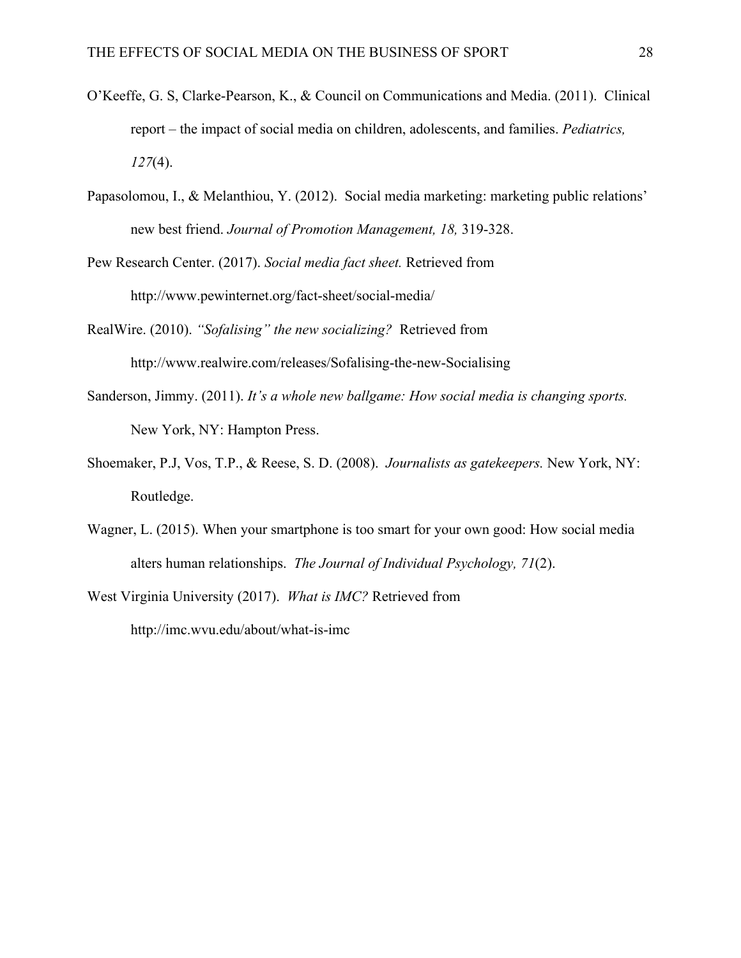- O'Keeffe, G. S, Clarke-Pearson, K., & Council on Communications and Media. (2011). Clinical report – the impact of social media on children, adolescents, and families. *Pediatrics, 127*(4).
- Papasolomou, I., & Melanthiou, Y. (2012). Social media marketing: marketing public relations' new best friend. *Journal of Promotion Management, 18,* 319-328.
- Pew Research Center. (2017). *Social media fact sheet.* Retrieved from http://www.pewinternet.org/fact-sheet/social-media/
- RealWire. (2010). *"Sofalising" the new socializing?* Retrieved from http://www.realwire.com/releases/Sofalising-the-new-Socialising
- Sanderson, Jimmy. (2011). *It's a whole new ballgame: How social media is changing sports.* New York, NY: Hampton Press.
- Shoemaker, P.J, Vos, T.P., & Reese, S. D. (2008). *Journalists as gatekeepers.* New York, NY: Routledge.
- Wagner, L. (2015). When your smartphone is too smart for your own good: How social media alters human relationships. *The Journal of Individual Psychology, 71*(2).
- West Virginia University (2017). *What is IMC?* Retrieved from http://imc.wvu.edu/about/what-is-imc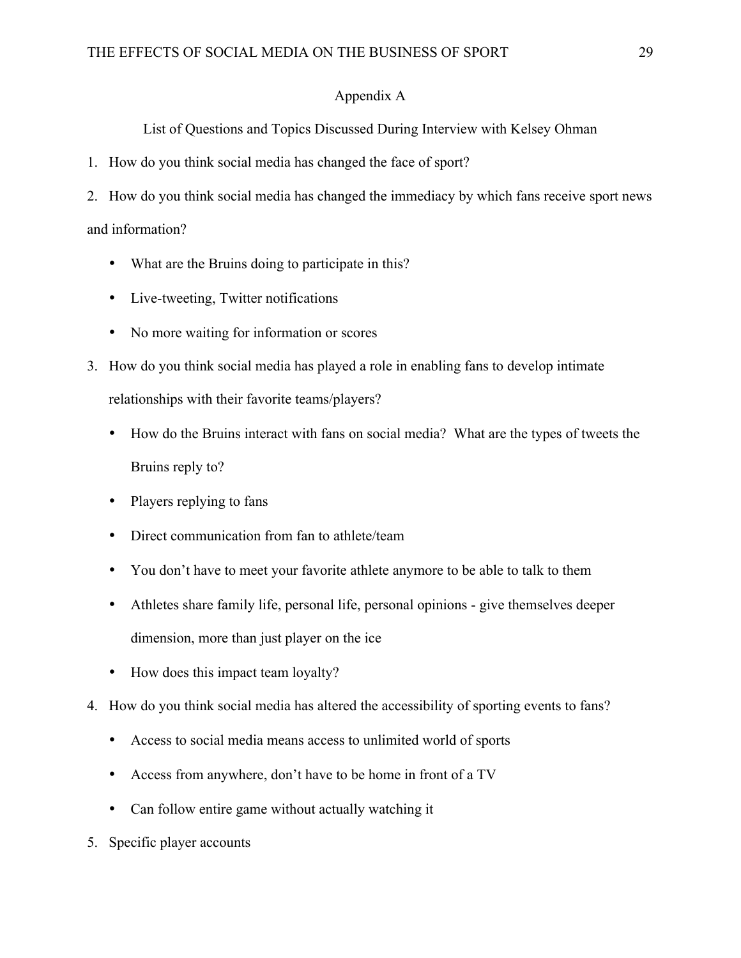### Appendix A

List of Questions and Topics Discussed During Interview with Kelsey Ohman

1. How do you think social media has changed the face of sport?

2. How do you think social media has changed the immediacy by which fans receive sport news and information?

- What are the Bruins doing to participate in this?
- Live-tweeting, Twitter notifications
- No more waiting for information or scores
- 3. How do you think social media has played a role in enabling fans to develop intimate relationships with their favorite teams/players?
	- How do the Bruins interact with fans on social media? What are the types of tweets the Bruins reply to?
	- Players replying to fans
	- Direct communication from fan to athlete/team
	- You don't have to meet your favorite athlete anymore to be able to talk to them
	- Athletes share family life, personal life, personal opinions give themselves deeper dimension, more than just player on the ice
	- How does this impact team loyalty?
- 4. How do you think social media has altered the accessibility of sporting events to fans?
	- Access to social media means access to unlimited world of sports
	- Access from anywhere, don't have to be home in front of a TV
	- Can follow entire game without actually watching it
- 5. Specific player accounts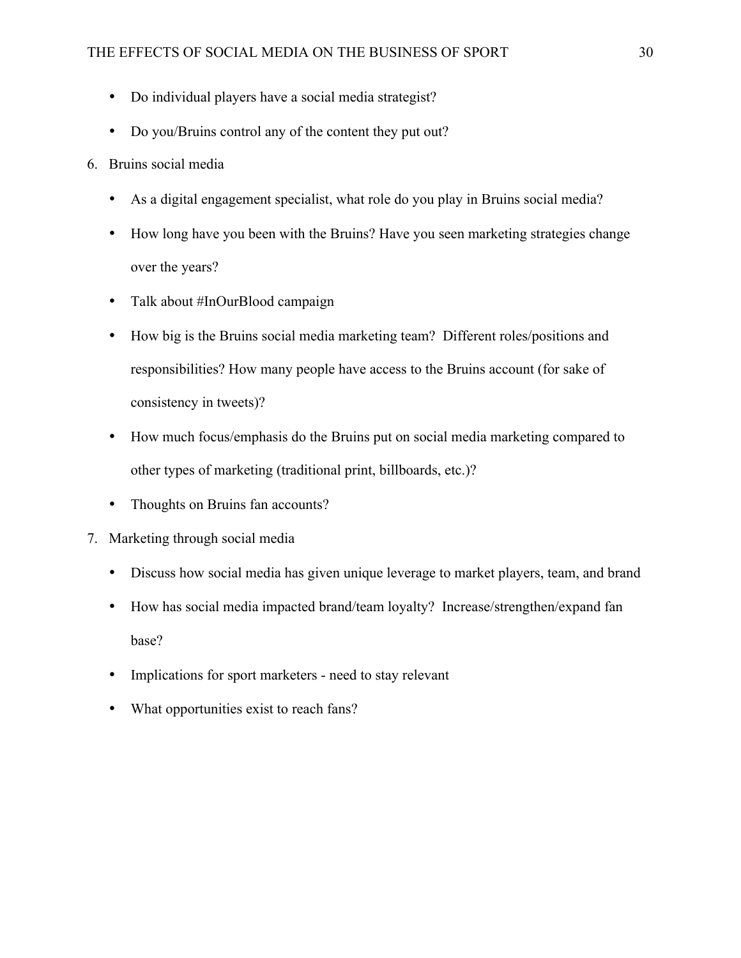- Do individual players have a social media strategist?
- Do you/Bruins control any of the content they put out?
- 6. Bruins social media
	- As a digital engagement specialist, what role do you play in Bruins social media?
	- How long have you been with the Bruins? Have you seen marketing strategies change over the years?
	- Talk about #InOurBlood campaign
	- How big is the Bruins social media marketing team? Different roles/positions and responsibilities? How many people have access to the Bruins account (for sake of consistency in tweets)?
	- How much focus/emphasis do the Bruins put on social media marketing compared to other types of marketing (traditional print, billboards, etc.)?
	- Thoughts on Bruins fan accounts?
- 7. Marketing through social media
	- Discuss how social media has given unique leverage to market players, team, and brand
	- How has social media impacted brand/team loyalty? Increase/strengthen/expand fan base?
	- Implications for sport marketers need to stay relevant
	- What opportunities exist to reach fans?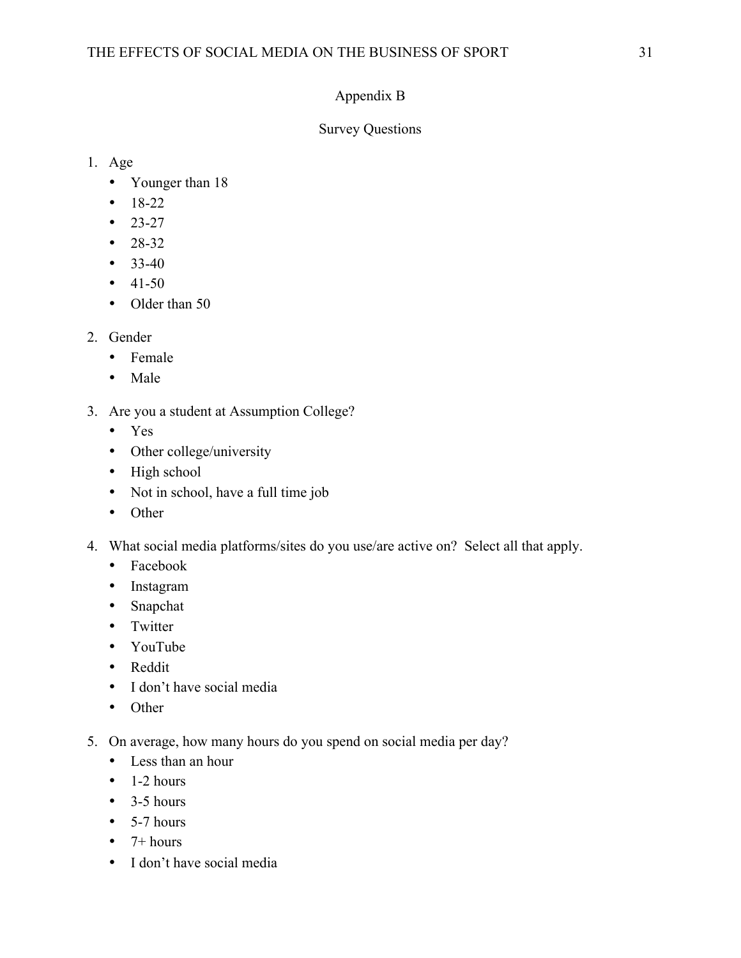# Appendix B

## Survey Questions

- 1. Age
	- Younger than 18
	- $18-22$
	- $23-27$
	- $28-32$
	- 33-40
	- $41-50$
	- Older than 50
- 2. Gender
	- Female
	- Male
- 3. Are you a student at Assumption College?
	- Yes
	- Other college/university
	- High school
	- Not in school, have a full time job
	- Other
- 4. What social media platforms/sites do you use/are active on? Select all that apply.
	- Facebook
	- Instagram
	- Snapchat
	- Twitter
	- YouTube
	- Reddit
	- I don't have social media
	- Other
- 5. On average, how many hours do you spend on social media per day?
	- Less than an hour
	- $\bullet$  1-2 hours
	- $\bullet$  3-5 hours
	- $\bullet$  5-7 hours
	- $\bullet$  7+ hours
	- I don't have social media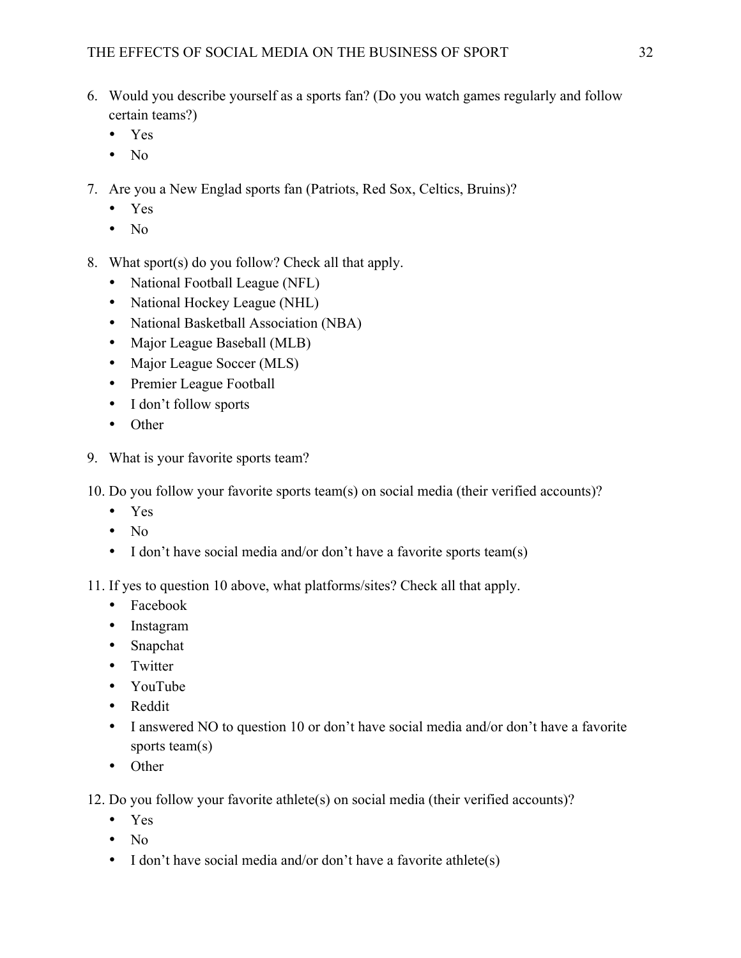- 6. Would you describe yourself as a sports fan? (Do you watch games regularly and follow certain teams?)
	- Yes
	- $\bullet$  No
- 7. Are you a New Englad sports fan (Patriots, Red Sox, Celtics, Bruins)?
	- Yes
	- $\bullet$  No
- 8. What sport(s) do you follow? Check all that apply.
	- National Football League (NFL)
	- National Hockey League (NHL)
	- National Basketball Association (NBA)
	- Major League Baseball (MLB)
	- Major League Soccer (MLS)
	- Premier League Football
	- I don't follow sports
	- Other
- 9. What is your favorite sports team?
- 10. Do you follow your favorite sports team(s) on social media (their verified accounts)?
	- Yes
	- No
	- I don't have social media and/or don't have a favorite sports team(s)
- 11. If yes to question 10 above, what platforms/sites? Check all that apply.
	- Facebook
	- Instagram
	- Snapchat
	- Twitter
	- YouTube
	- Reddit
	- I answered NO to question 10 or don't have social media and/or don't have a favorite sports team(s)
	- Other
- 12. Do you follow your favorite athlete(s) on social media (their verified accounts)?
	- Yes
	- No
	- I don't have social media and/or don't have a favorite athlete(s)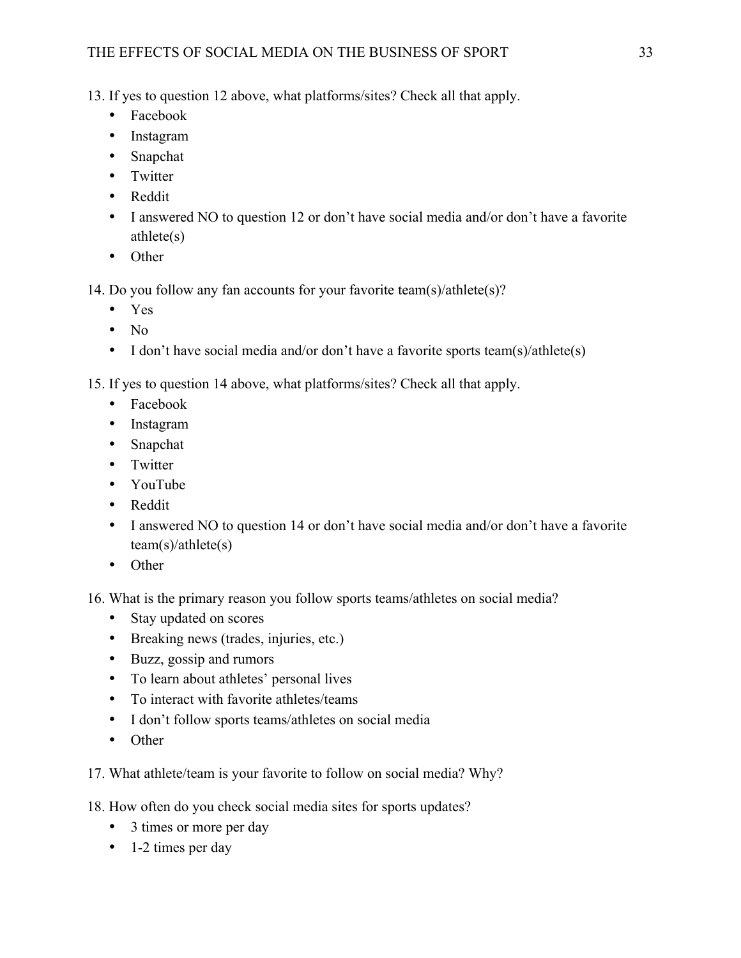## THE EFFECTS OF SOCIAL MEDIA ON THE BUSINESS OF SPORT 33

13. If yes to question 12 above, what platforms/sites? Check all that apply.

- Facebook
- Instagram
- Snapchat
- Twitter
- Reddit
- I answered NO to question 12 or don't have social media and/or don't have a favorite athlete(s)
- Other

14. Do you follow any fan accounts for your favorite team(s)/athlete(s)?

- Yes
- $\bullet$  No
- I don't have social media and/or don't have a favorite sports team(s)/athlete(s)

15. If yes to question 14 above, what platforms/sites? Check all that apply.

- Facebook
- Instagram
- Snapchat
- Twitter
- YouTube
- Reddit
- I answered NO to question 14 or don't have social media and/or don't have a favorite team(s)/athlete(s)
- Other
- 16. What is the primary reason you follow sports teams/athletes on social media?
	- Stay updated on scores
	- Breaking news (trades, injuries, etc.)
	- Buzz, gossip and rumors
	- To learn about athletes' personal lives
	- To interact with favorite athletes/teams
	- I don't follow sports teams/athletes on social media
	- Other
- 17. What athlete/team is your favorite to follow on social media? Why?

18. How often do you check social media sites for sports updates?

- 3 times or more per day
- 1-2 times per day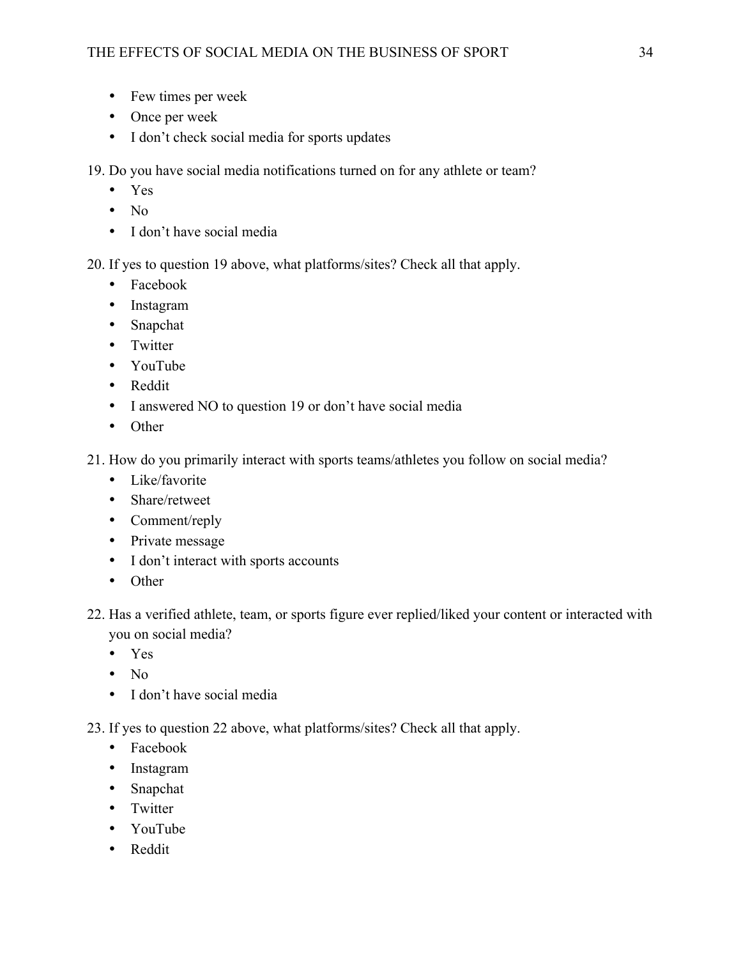- Few times per week
- Once per week
- I don't check social media for sports updates

19. Do you have social media notifications turned on for any athlete or team?

- Yes
- No
- I don't have social media

20. If yes to question 19 above, what platforms/sites? Check all that apply.

- Facebook
- Instagram
- Snapchat
- Twitter
- YouTube
- Reddit
- I answered NO to question 19 or don't have social media
- Other
- 21. How do you primarily interact with sports teams/athletes you follow on social media?
	- Like/favorite
	- Share/retweet
	- Comment/reply
	- Private message
	- I don't interact with sports accounts
	- Other
- 22. Has a verified athlete, team, or sports figure ever replied/liked your content or interacted with you on social media?
	- Yes
	- No
	- I don't have social media
- 23. If yes to question 22 above, what platforms/sites? Check all that apply.
	- Facebook
	- Instagram
	- Snapchat
	- Twitter
	- YouTube
	- Reddit